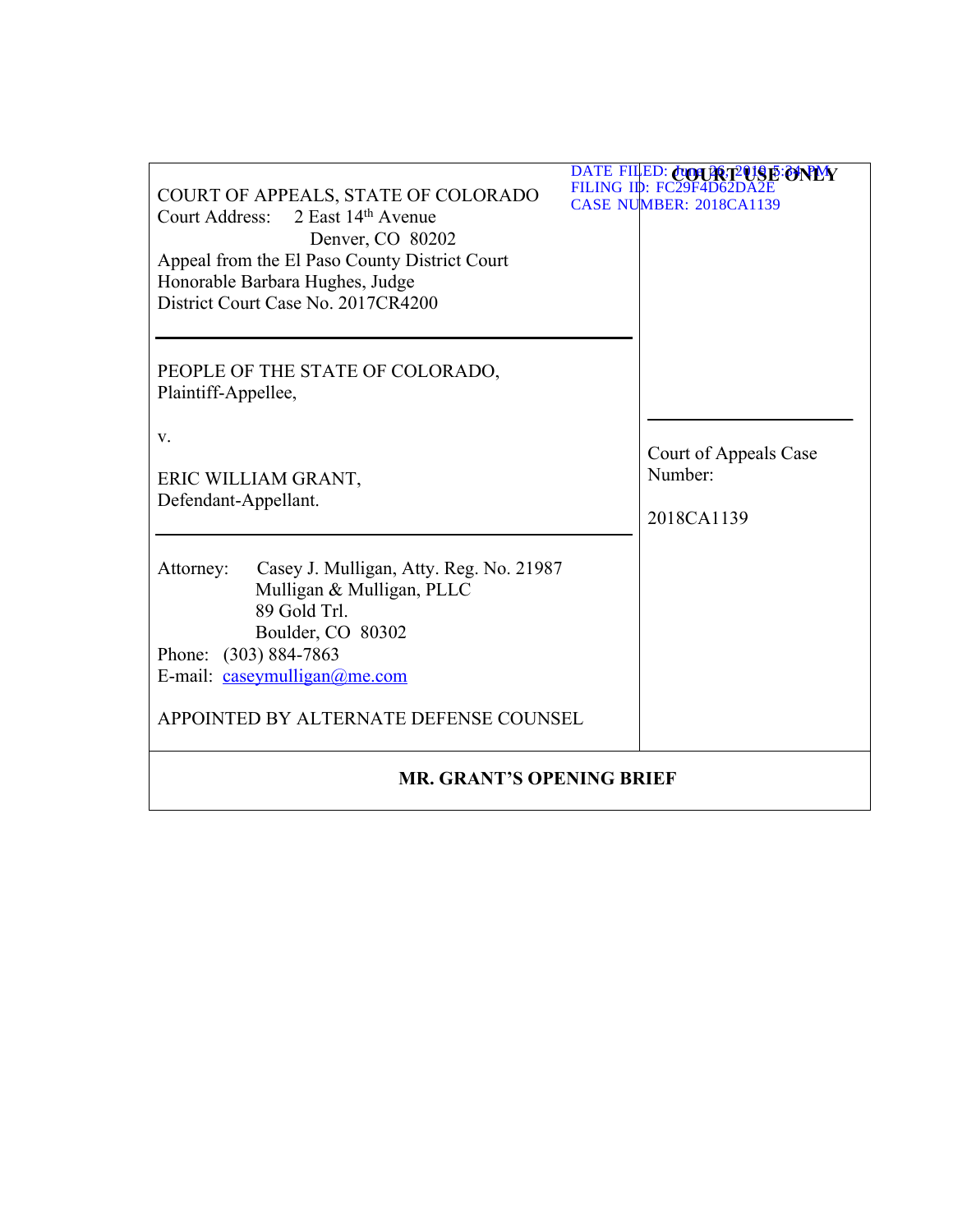| COURT OF APPEALS, STATE OF COLORADO<br>Court Address: 2 East 14th Avenue<br>Denver, CO 80202<br>Appeal from the El Paso County District Court<br>Honorable Barbara Hughes, Judge<br>District Court Case No. 2017CR4200    | DATE FILED: CUOLICT2018E:ONPMY<br>FILING ID: FC29F4D62D<br><b>CASE NUMBER: 2018CA1139</b> |  |  |  |
|---------------------------------------------------------------------------------------------------------------------------------------------------------------------------------------------------------------------------|-------------------------------------------------------------------------------------------|--|--|--|
| PEOPLE OF THE STATE OF COLORADO,<br>Plaintiff-Appellee,                                                                                                                                                                   |                                                                                           |  |  |  |
| V.<br>ERIC WILLIAM GRANT,<br>Defendant-Appellant.                                                                                                                                                                         | Court of Appeals Case<br>Number:<br>2018CA1139                                            |  |  |  |
| Casey J. Mulligan, Atty. Reg. No. 21987<br>Attorney:<br>Mulligan & Mulligan, PLLC<br>89 Gold Trl.<br>Boulder, CO 80302<br>Phone: (303) 884-7863<br>E-mail: caseymulligan@me.com<br>APPOINTED BY ALTERNATE DEFENSE COUNSEL |                                                                                           |  |  |  |
| <b>MR. GRANT'S OPENING BRIEF</b>                                                                                                                                                                                          |                                                                                           |  |  |  |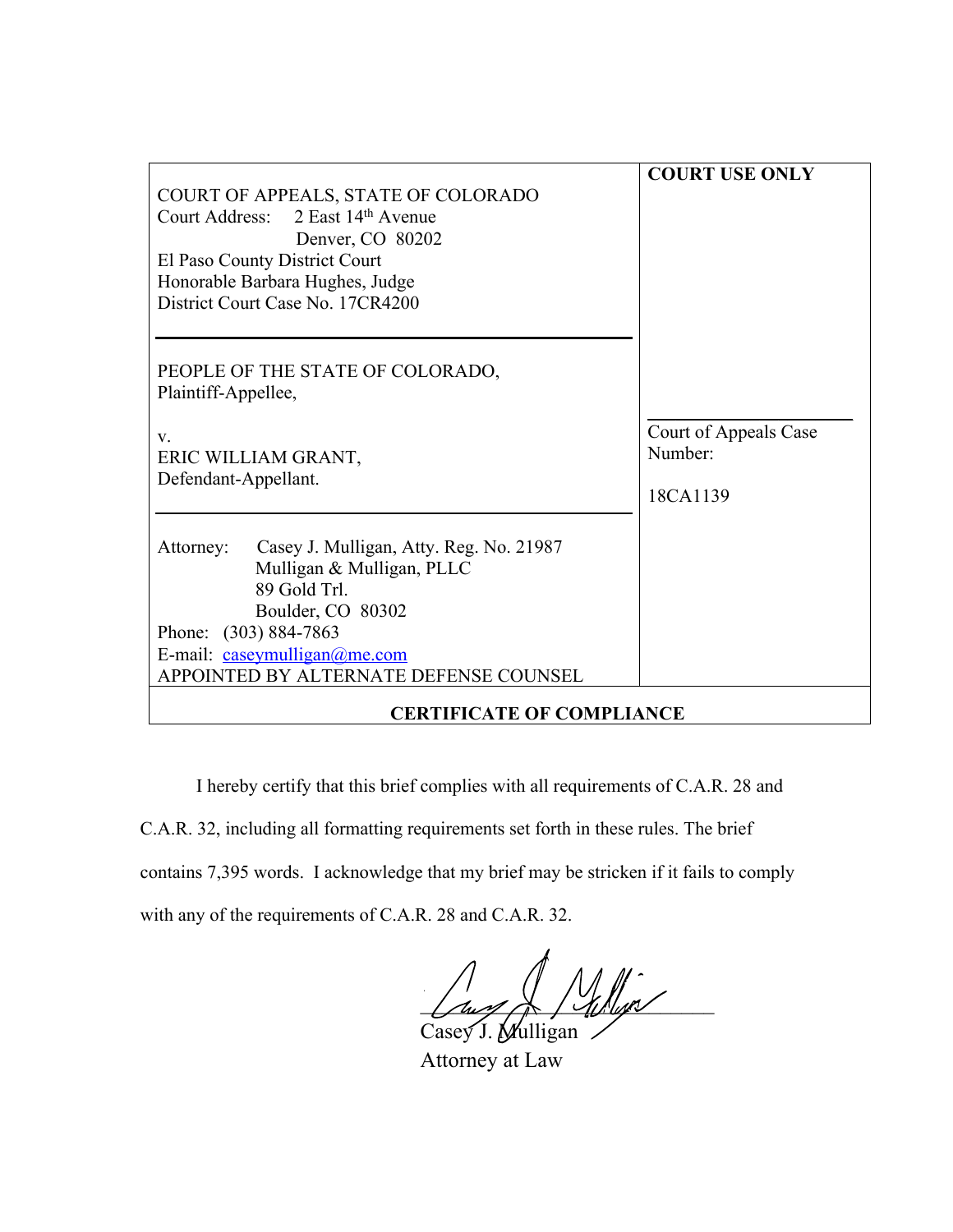| COURT OF APPEALS, STATE OF COLORADO<br>Court Address: 2 East 14th Avenue<br>Denver, CO 80202<br>El Paso County District Court<br>Honorable Barbara Hughes, Judge<br>District Court Case No. 17CR4200                      | <b>COURT USE ONLY</b>                        |
|---------------------------------------------------------------------------------------------------------------------------------------------------------------------------------------------------------------------------|----------------------------------------------|
| PEOPLE OF THE STATE OF COLORADO,<br>Plaintiff-Appellee,<br>V.<br>ERIC WILLIAM GRANT,<br>Defendant-Appellant.                                                                                                              | Court of Appeals Case<br>Number:<br>18CA1139 |
| Casey J. Mulligan, Atty. Reg. No. 21987<br>Attorney:<br>Mulligan & Mulligan, PLLC<br>89 Gold Trl.<br>Boulder, CO 80302<br>Phone: (303) 884-7863<br>E-mail: caseymulligan@me.com<br>APPOINTED BY ALTERNATE DEFENSE COUNSEL |                                              |
| <b>CERTIFICATE OF COMPLIANCE</b>                                                                                                                                                                                          |                                              |

I hereby certify that this brief complies with all requirements of C.A.R. 28 and C.A.R. 32, including all formatting requirements set forth in these rules. The brief contains 7,395 words. I acknowledge that my brief may be stricken if it fails to comply with any of the requirements of C.A.R. 28 and C.A.R. 32.

 $\frac{1}{2}$ Casey J. Mulligan

Attorney at Law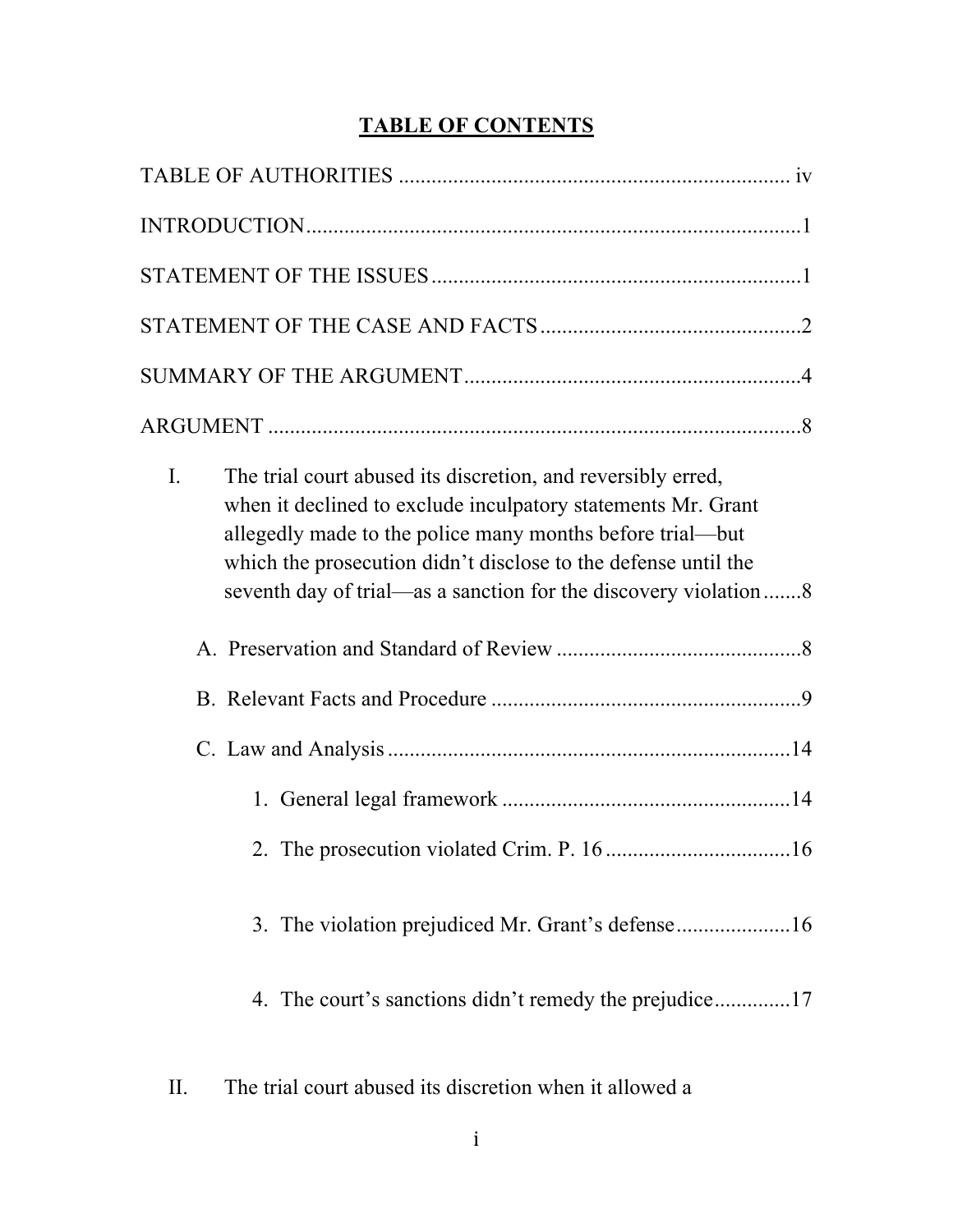# **TABLE OF CONTENTS**

| The trial court abused its discretion, and reversibly erred,<br>Ι.<br>when it declined to exclude inculpatory statements Mr. Grant<br>allegedly made to the police many months before trial—but<br>which the prosecution didn't disclose to the defense until the<br>seventh day of trial—as a sanction for the discovery violation 8 |
|---------------------------------------------------------------------------------------------------------------------------------------------------------------------------------------------------------------------------------------------------------------------------------------------------------------------------------------|
|                                                                                                                                                                                                                                                                                                                                       |
|                                                                                                                                                                                                                                                                                                                                       |
|                                                                                                                                                                                                                                                                                                                                       |
|                                                                                                                                                                                                                                                                                                                                       |
|                                                                                                                                                                                                                                                                                                                                       |
|                                                                                                                                                                                                                                                                                                                                       |
|                                                                                                                                                                                                                                                                                                                                       |
| The trial court abused its discretion when it allowed a<br>II.                                                                                                                                                                                                                                                                        |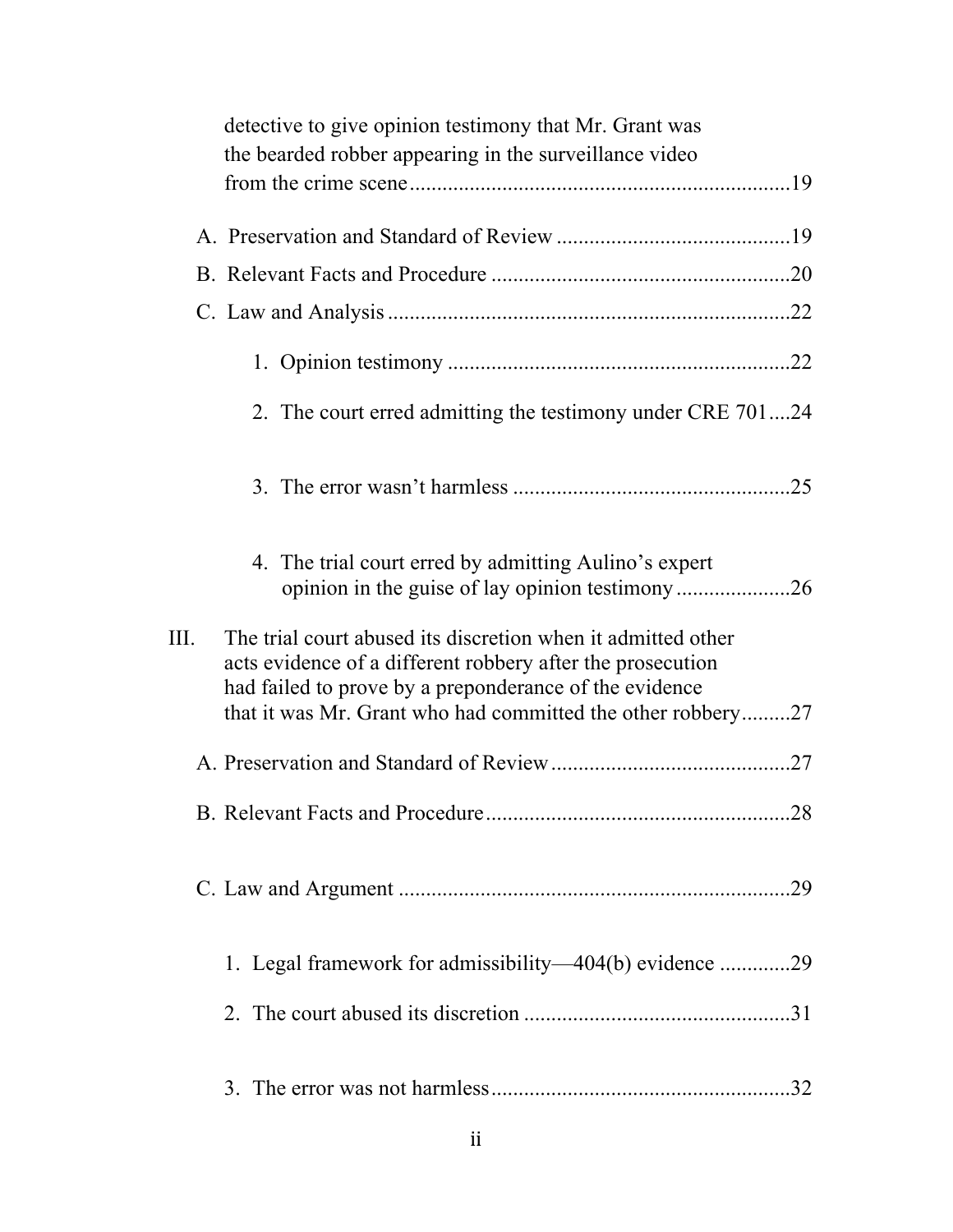|      | detective to give opinion testimony that Mr. Grant was                                                                                                                                                                                              |  |
|------|-----------------------------------------------------------------------------------------------------------------------------------------------------------------------------------------------------------------------------------------------------|--|
|      | the bearded robber appearing in the surveillance video                                                                                                                                                                                              |  |
|      |                                                                                                                                                                                                                                                     |  |
|      |                                                                                                                                                                                                                                                     |  |
|      |                                                                                                                                                                                                                                                     |  |
|      |                                                                                                                                                                                                                                                     |  |
|      | 2. The court erred admitting the testimony under CRE 70124                                                                                                                                                                                          |  |
|      |                                                                                                                                                                                                                                                     |  |
|      | 4. The trial court erred by admitting Aulino's expert                                                                                                                                                                                               |  |
| III. | The trial court abused its discretion when it admitted other<br>acts evidence of a different robbery after the prosecution<br>had failed to prove by a preponderance of the evidence<br>that it was Mr. Grant who had committed the other robbery27 |  |
|      |                                                                                                                                                                                                                                                     |  |
|      |                                                                                                                                                                                                                                                     |  |
|      |                                                                                                                                                                                                                                                     |  |
|      | 1. Legal framework for admissibility—404(b) evidence 29                                                                                                                                                                                             |  |
|      |                                                                                                                                                                                                                                                     |  |
|      |                                                                                                                                                                                                                                                     |  |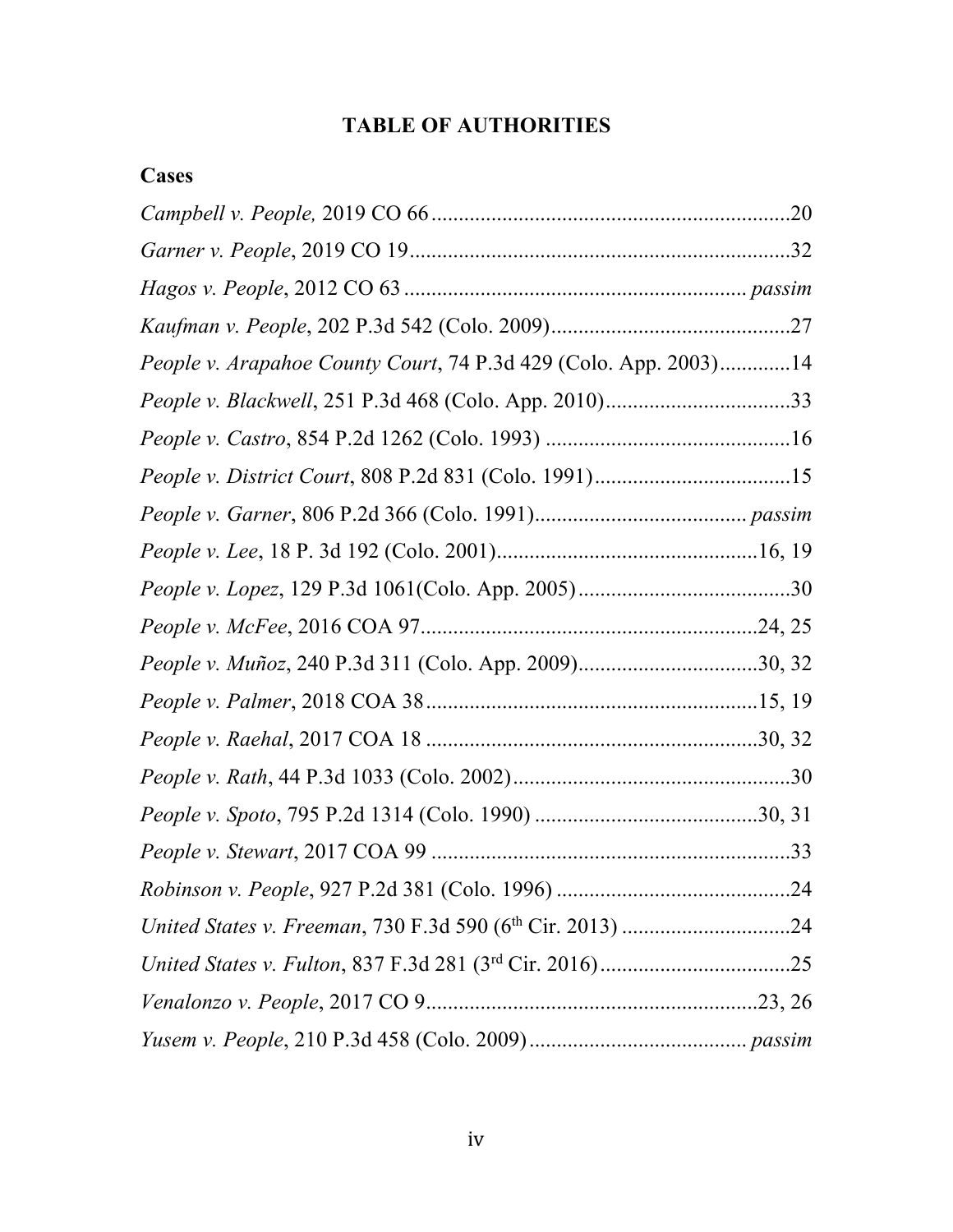# **TABLE OF AUTHORITIES**

## **Cases**

| People v. Arapahoe County Court, 74 P.3d 429 (Colo. App. 2003)14 |  |
|------------------------------------------------------------------|--|
|                                                                  |  |
|                                                                  |  |
|                                                                  |  |
|                                                                  |  |
|                                                                  |  |
|                                                                  |  |
|                                                                  |  |
| People v. Muñoz, 240 P.3d 311 (Colo. App. 2009)30, 32            |  |
|                                                                  |  |
|                                                                  |  |
|                                                                  |  |
|                                                                  |  |
|                                                                  |  |
|                                                                  |  |
|                                                                  |  |
|                                                                  |  |
|                                                                  |  |
|                                                                  |  |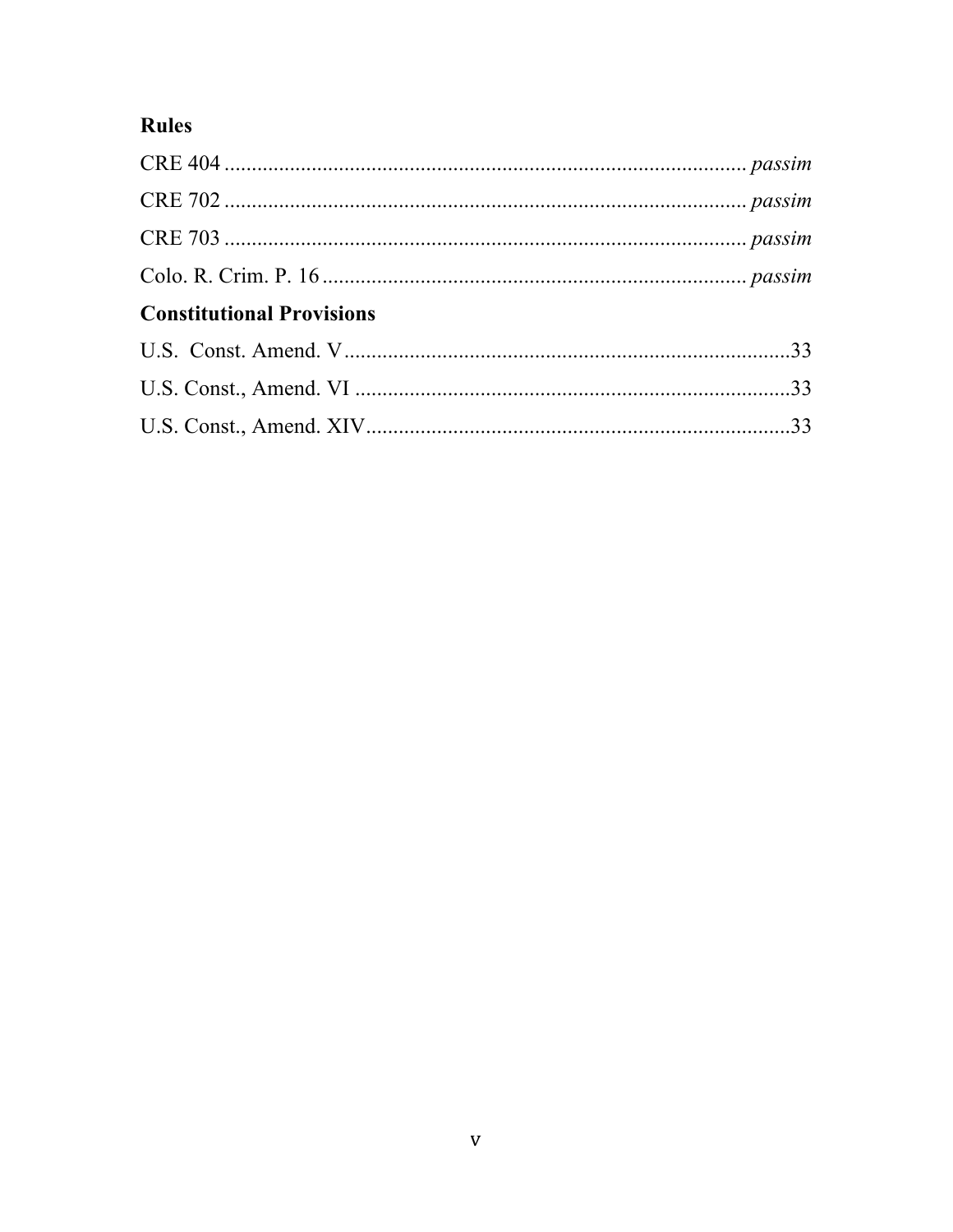# Rules

| <b>Constitutional Provisions</b> |  |
|----------------------------------|--|
|                                  |  |
|                                  |  |
|                                  |  |
|                                  |  |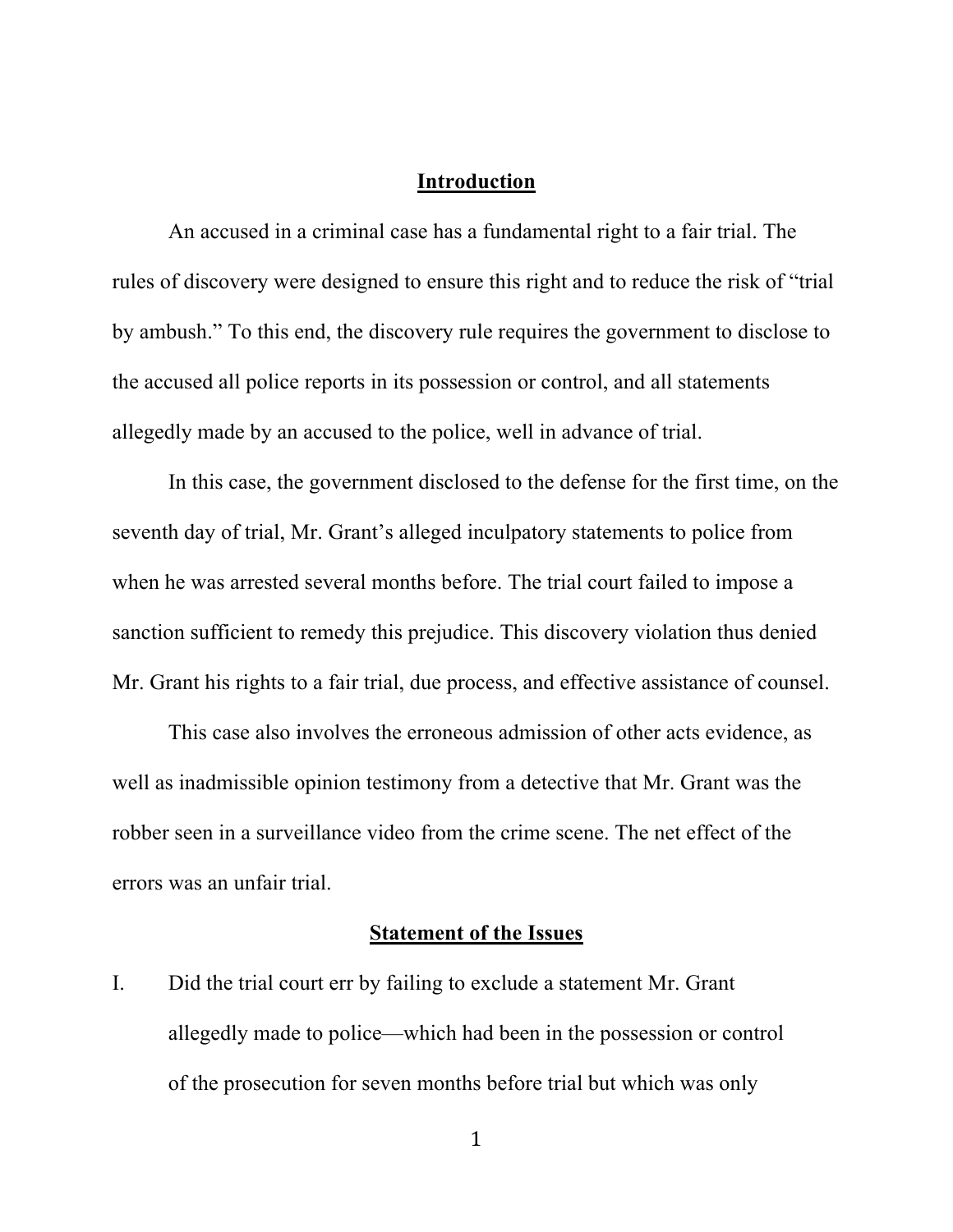#### **Introduction**

An accused in a criminal case has a fundamental right to a fair trial. The rules of discovery were designed to ensure this right and to reduce the risk of "trial by ambush." To this end, the discovery rule requires the government to disclose to the accused all police reports in its possession or control, and all statements allegedly made by an accused to the police, well in advance of trial.

In this case, the government disclosed to the defense for the first time, on the seventh day of trial, Mr. Grant's alleged inculpatory statements to police from when he was arrested several months before. The trial court failed to impose a sanction sufficient to remedy this prejudice. This discovery violation thus denied Mr. Grant his rights to a fair trial, due process, and effective assistance of counsel.

This case also involves the erroneous admission of other acts evidence, as well as inadmissible opinion testimony from a detective that Mr. Grant was the robber seen in a surveillance video from the crime scene. The net effect of the errors was an unfair trial.

#### **Statement of the Issues**

I. Did the trial court err by failing to exclude a statement Mr. Grant allegedly made to police—which had been in the possession or control of the prosecution for seven months before trial but which was only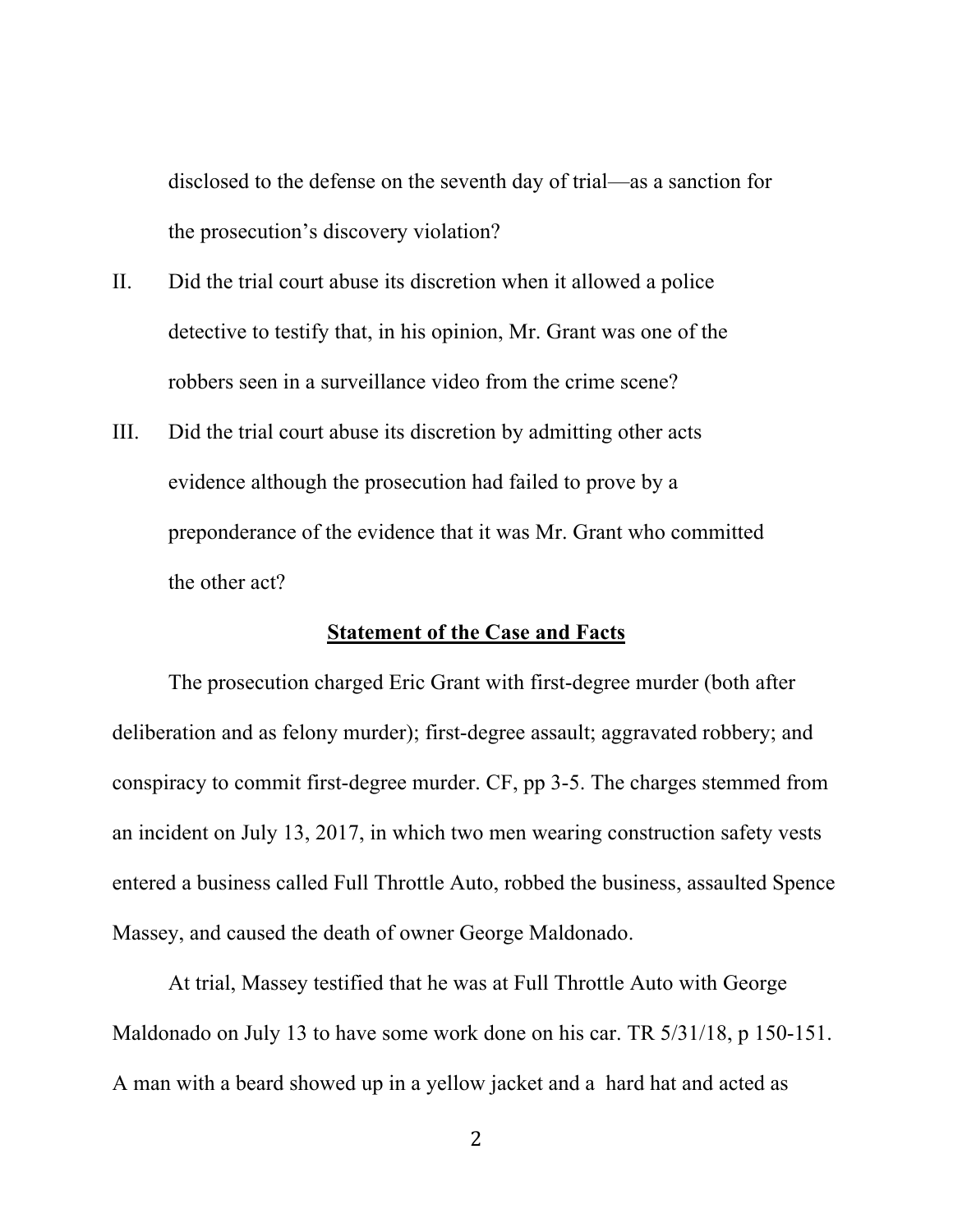disclosed to the defense on the seventh day of trial—as a sanction for the prosecution's discovery violation?

- II. Did the trial court abuse its discretion when it allowed a police detective to testify that, in his opinion, Mr. Grant was one of the robbers seen in a surveillance video from the crime scene?
- III. Did the trial court abuse its discretion by admitting other acts evidence although the prosecution had failed to prove by a preponderance of the evidence that it was Mr. Grant who committed the other act?

#### **Statement of the Case and Facts**

The prosecution charged Eric Grant with first-degree murder (both after deliberation and as felony murder); first-degree assault; aggravated robbery; and conspiracy to commit first-degree murder. CF, pp 3-5. The charges stemmed from an incident on July 13, 2017, in which two men wearing construction safety vests entered a business called Full Throttle Auto, robbed the business, assaulted Spence Massey, and caused the death of owner George Maldonado.

At trial, Massey testified that he was at Full Throttle Auto with George Maldonado on July 13 to have some work done on his car. TR 5/31/18, p 150-151. A man with a beard showed up in a yellow jacket and a hard hat and acted as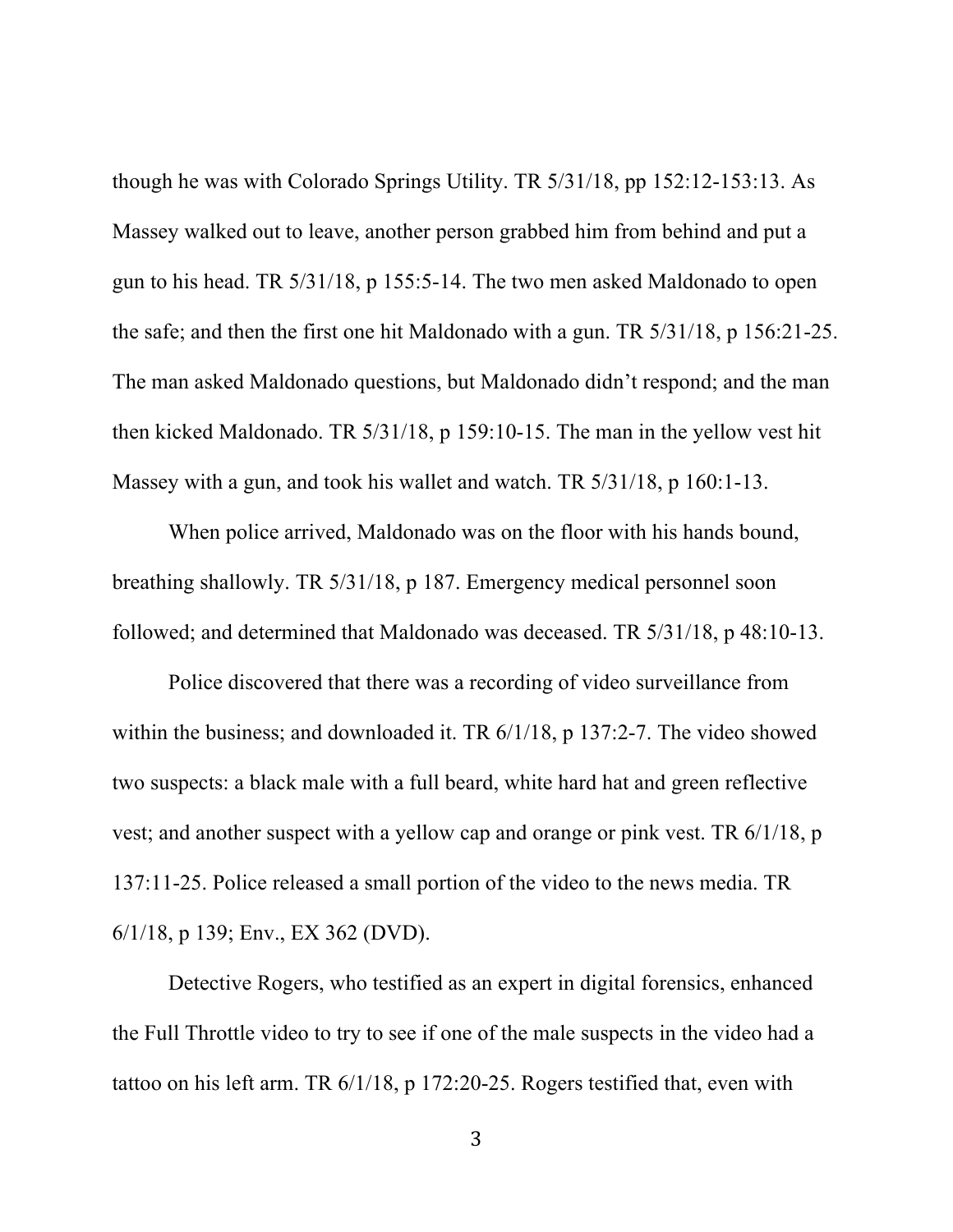though he was with Colorado Springs Utility. TR 5/31/18, pp 152:12-153:13. As Massey walked out to leave, another person grabbed him from behind and put a gun to his head. TR 5/31/18, p 155:5-14. The two men asked Maldonado to open the safe; and then the first one hit Maldonado with a gun. TR 5/31/18, p 156:21-25. The man asked Maldonado questions, but Maldonado didn't respond; and the man then kicked Maldonado. TR 5/31/18, p 159:10-15. The man in the yellow vest hit Massey with a gun, and took his wallet and watch. TR 5/31/18, p 160:1-13.

When police arrived, Maldonado was on the floor with his hands bound, breathing shallowly. TR 5/31/18, p 187. Emergency medical personnel soon followed; and determined that Maldonado was deceased. TR 5/31/18, p 48:10-13.

Police discovered that there was a recording of video surveillance from within the business; and downloaded it. TR  $6/1/18$ , p 137:2-7. The video showed two suspects: a black male with a full beard, white hard hat and green reflective vest; and another suspect with a yellow cap and orange or pink vest. TR 6/1/18, p 137:11-25. Police released a small portion of the video to the news media. TR 6/1/18, p 139; Env., EX 362 (DVD).

Detective Rogers, who testified as an expert in digital forensics, enhanced the Full Throttle video to try to see if one of the male suspects in the video had a tattoo on his left arm. TR 6/1/18, p 172:20-25. Rogers testified that, even with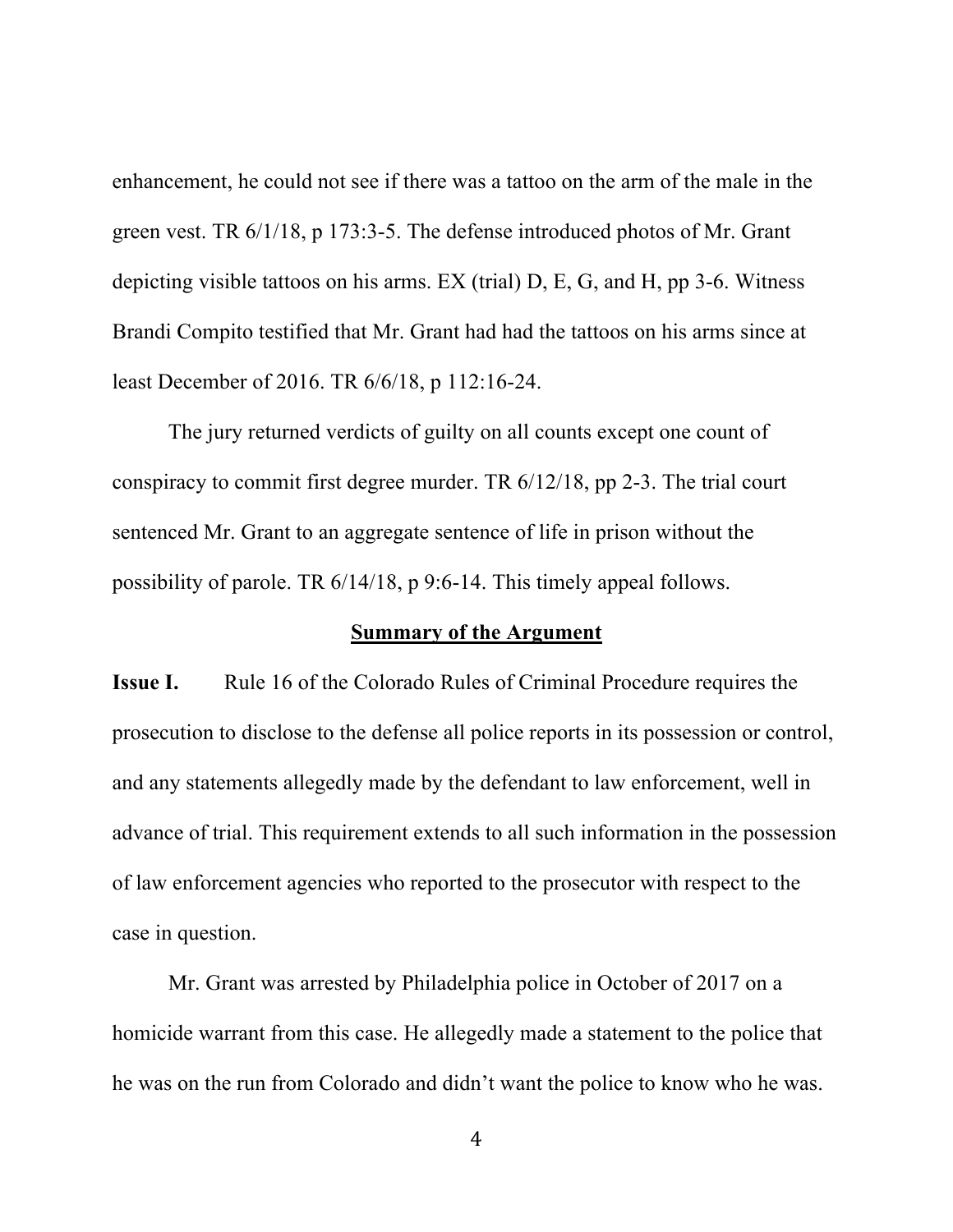enhancement, he could not see if there was a tattoo on the arm of the male in the green vest. TR 6/1/18, p 173:3-5. The defense introduced photos of Mr. Grant depicting visible tattoos on his arms. EX (trial) D, E, G, and H, pp 3-6. Witness Brandi Compito testified that Mr. Grant had had the tattoos on his arms since at least December of 2016. TR 6/6/18, p 112:16-24.

The jury returned verdicts of guilty on all counts except one count of conspiracy to commit first degree murder. TR 6/12/18, pp 2-3. The trial court sentenced Mr. Grant to an aggregate sentence of life in prison without the possibility of parole. TR 6/14/18, p 9:6-14. This timely appeal follows.

#### **Summary of the Argument**

**Issue I.** Rule 16 of the Colorado Rules of Criminal Procedure requires the prosecution to disclose to the defense all police reports in its possession or control, and any statements allegedly made by the defendant to law enforcement, well in advance of trial. This requirement extends to all such information in the possession of law enforcement agencies who reported to the prosecutor with respect to the case in question.

Mr. Grant was arrested by Philadelphia police in October of 2017 on a homicide warrant from this case. He allegedly made a statement to the police that he was on the run from Colorado and didn't want the police to know who he was.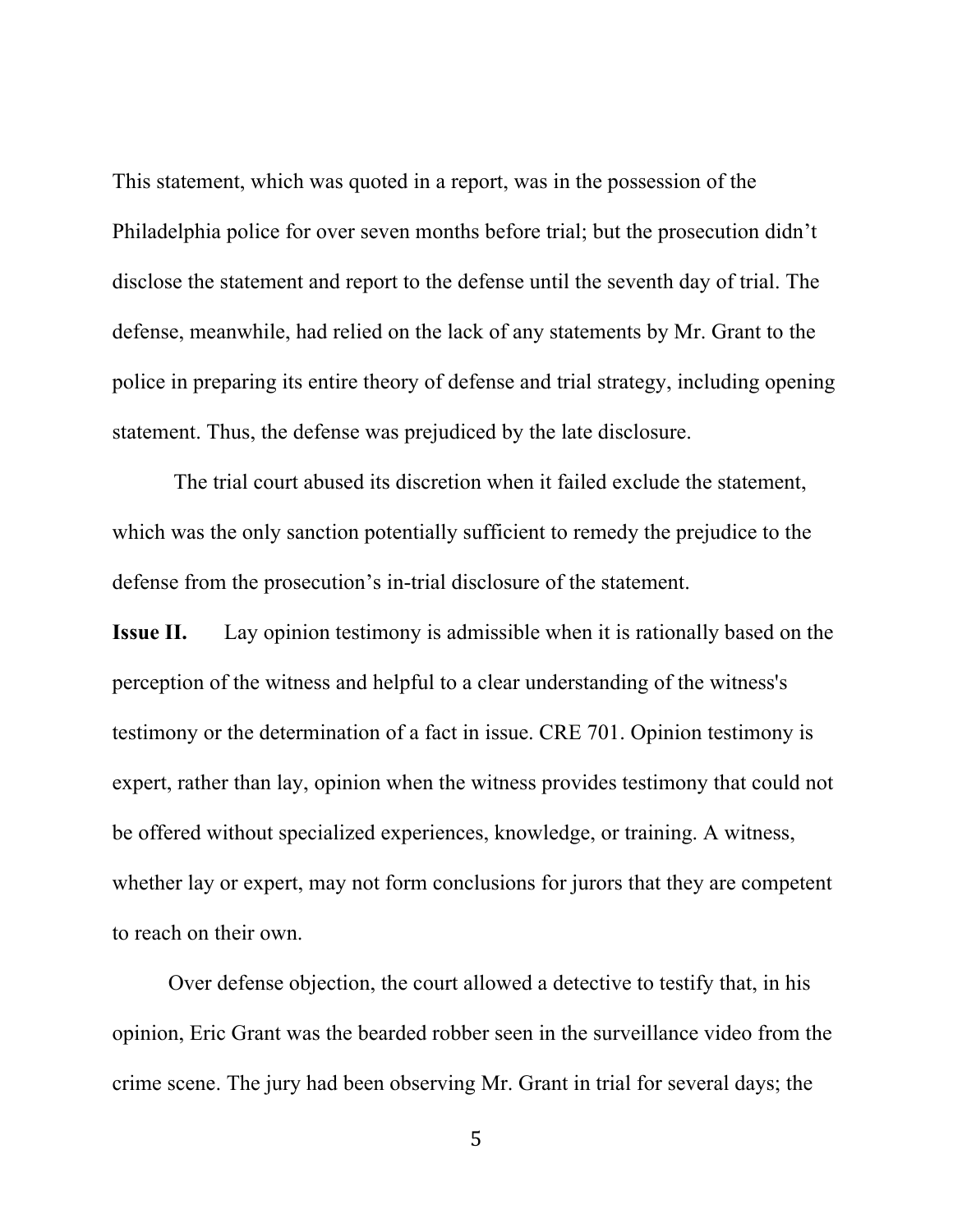This statement, which was quoted in a report, was in the possession of the Philadelphia police for over seven months before trial; but the prosecution didn't disclose the statement and report to the defense until the seventh day of trial. The defense, meanwhile, had relied on the lack of any statements by Mr. Grant to the police in preparing its entire theory of defense and trial strategy, including opening statement. Thus, the defense was prejudiced by the late disclosure.

The trial court abused its discretion when it failed exclude the statement, which was the only sanction potentially sufficient to remedy the prejudice to the defense from the prosecution's in-trial disclosure of the statement.

**Issue II.** Lay opinion testimony is admissible when it is rationally based on the perception of the witness and helpful to a clear understanding of the witness's testimony or the determination of a fact in issue. CRE 701. Opinion testimony is expert, rather than lay, opinion when the witness provides testimony that could not be offered without specialized experiences, knowledge, or training. A witness, whether lay or expert, may not form conclusions for jurors that they are competent to reach on their own.

Over defense objection, the court allowed a detective to testify that, in his opinion, Eric Grant was the bearded robber seen in the surveillance video from the crime scene. The jury had been observing Mr. Grant in trial for several days; the

5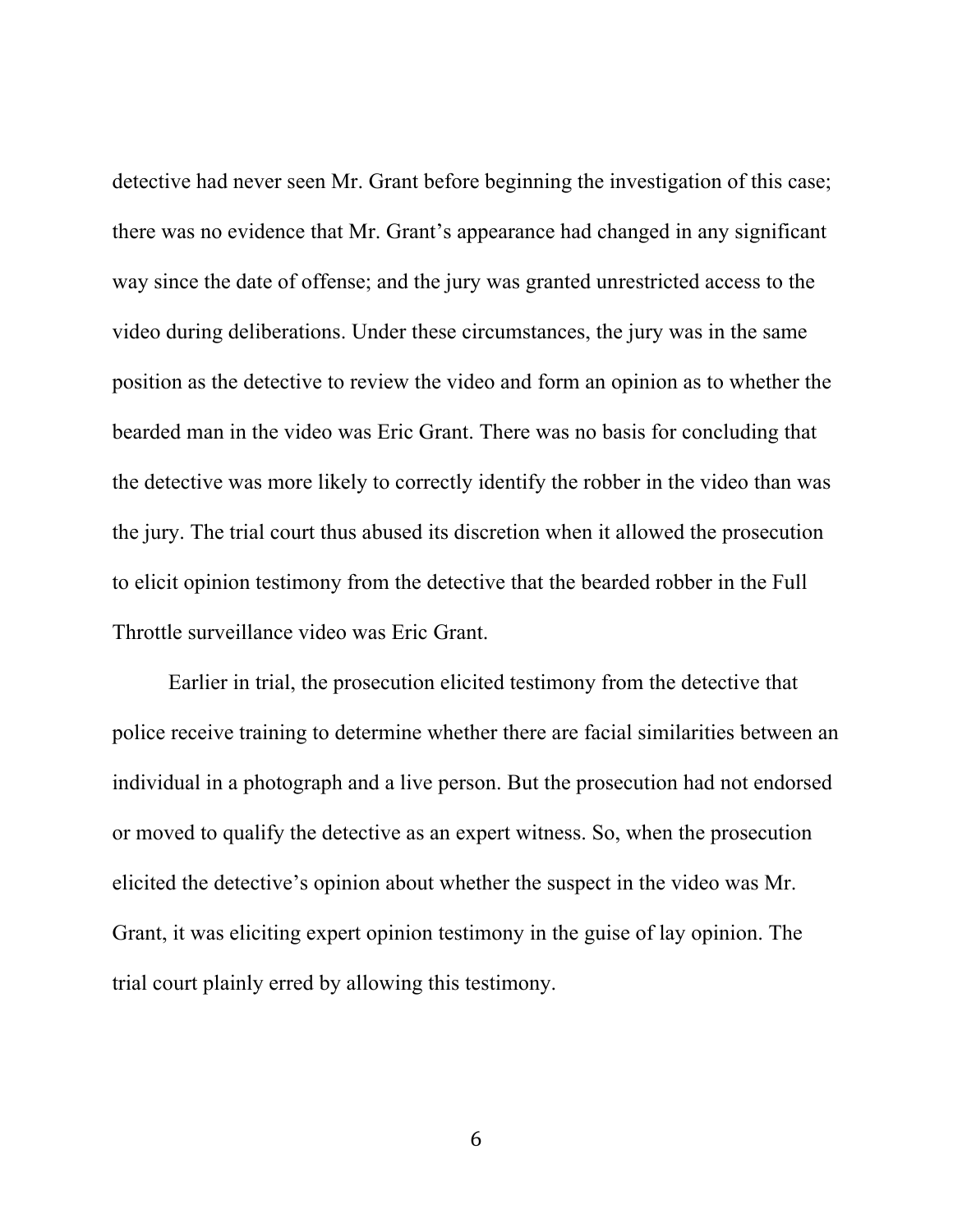detective had never seen Mr. Grant before beginning the investigation of this case; there was no evidence that Mr. Grant's appearance had changed in any significant way since the date of offense; and the jury was granted unrestricted access to the video during deliberations. Under these circumstances, the jury was in the same position as the detective to review the video and form an opinion as to whether the bearded man in the video was Eric Grant. There was no basis for concluding that the detective was more likely to correctly identify the robber in the video than was the jury. The trial court thus abused its discretion when it allowed the prosecution to elicit opinion testimony from the detective that the bearded robber in the Full Throttle surveillance video was Eric Grant.

Earlier in trial, the prosecution elicited testimony from the detective that police receive training to determine whether there are facial similarities between an individual in a photograph and a live person. But the prosecution had not endorsed or moved to qualify the detective as an expert witness. So, when the prosecution elicited the detective's opinion about whether the suspect in the video was Mr. Grant, it was eliciting expert opinion testimony in the guise of lay opinion. The trial court plainly erred by allowing this testimony.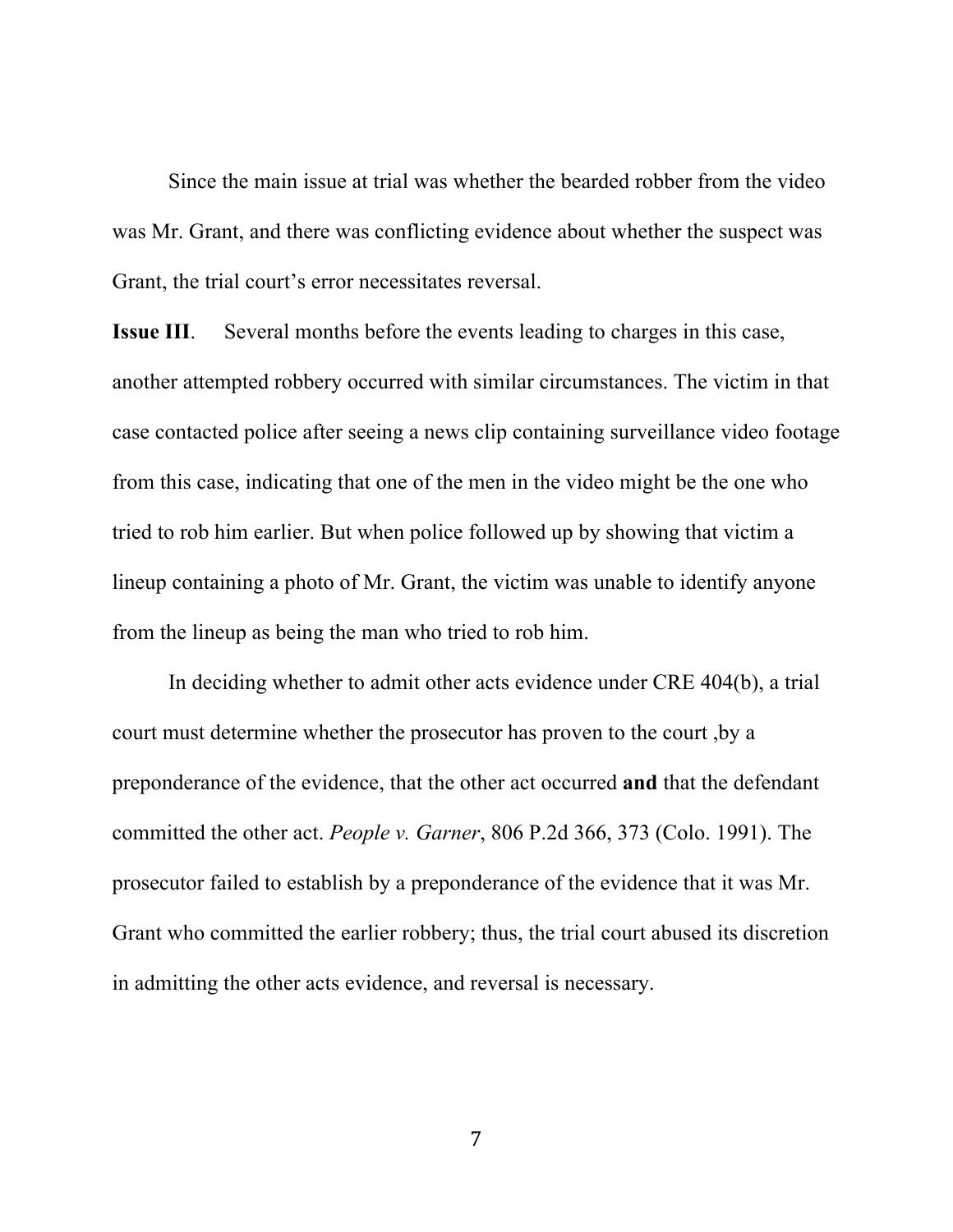Since the main issue at trial was whether the bearded robber from the video was Mr. Grant, and there was conflicting evidence about whether the suspect was Grant, the trial court's error necessitates reversal.

**Issue III**. Several months before the events leading to charges in this case, another attempted robbery occurred with similar circumstances. The victim in that case contacted police after seeing a news clip containing surveillance video footage from this case, indicating that one of the men in the video might be the one who tried to rob him earlier. But when police followed up by showing that victim a lineup containing a photo of Mr. Grant, the victim was unable to identify anyone from the lineup as being the man who tried to rob him.

In deciding whether to admit other acts evidence under CRE 404(b), a trial court must determine whether the prosecutor has proven to the court ,by a preponderance of the evidence, that the other act occurred **and** that the defendant committed the other act. *People v. Garner*, 806 P.2d 366, 373 (Colo. 1991). The prosecutor failed to establish by a preponderance of the evidence that it was Mr. Grant who committed the earlier robbery; thus, the trial court abused its discretion in admitting the other acts evidence, and reversal is necessary.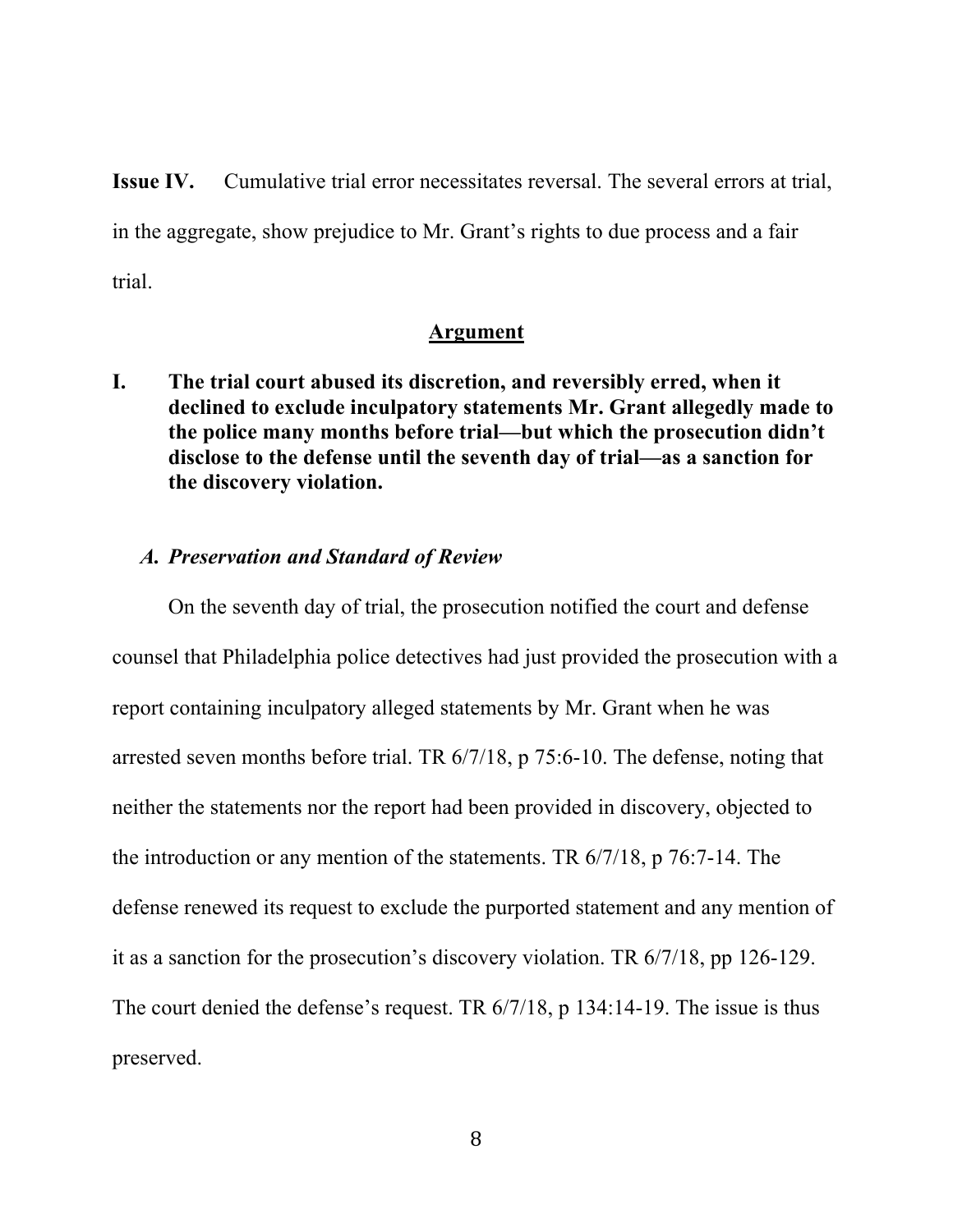**Issue IV.** Cumulative trial error necessitates reversal. The several errors at trial, in the aggregate, show prejudice to Mr. Grant's rights to due process and a fair trial.

#### **Argument**

**I. The trial court abused its discretion, and reversibly erred, when it declined to exclude inculpatory statements Mr. Grant allegedly made to the police many months before trial—but which the prosecution didn't disclose to the defense until the seventh day of trial—as a sanction for the discovery violation.**

## *A. Preservation and Standard of Review*

On the seventh day of trial, the prosecution notified the court and defense counsel that Philadelphia police detectives had just provided the prosecution with a report containing inculpatory alleged statements by Mr. Grant when he was arrested seven months before trial. TR 6/7/18, p 75:6-10. The defense, noting that neither the statements nor the report had been provided in discovery, objected to the introduction or any mention of the statements. TR 6/7/18, p 76:7-14. The defense renewed its request to exclude the purported statement and any mention of it as a sanction for the prosecution's discovery violation. TR 6/7/18, pp 126-129. The court denied the defense's request. TR  $6/7/18$ , p 134:14-19. The issue is thus preserved.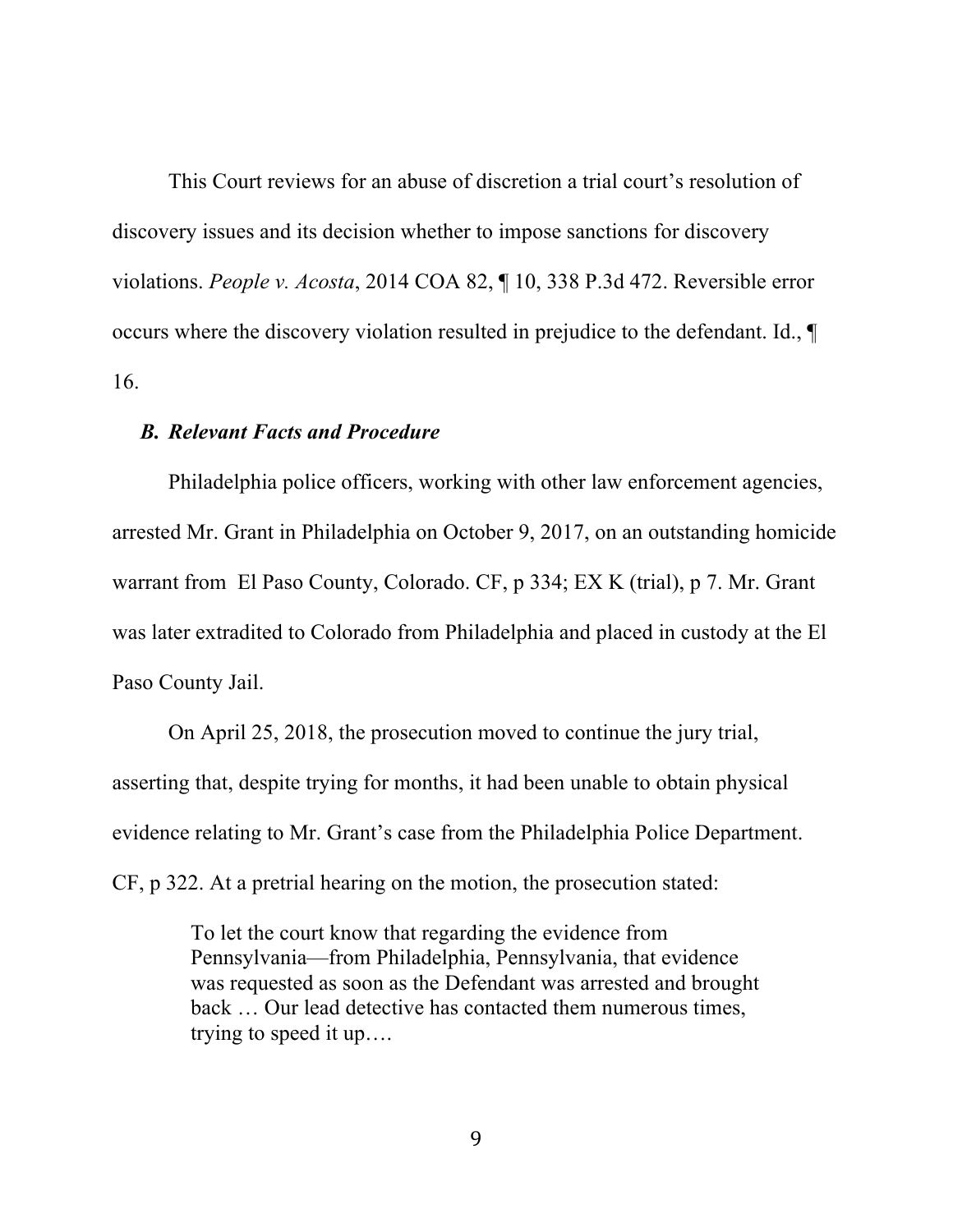This Court reviews for an abuse of discretion a trial court's resolution of discovery issues and its decision whether to impose sanctions for discovery violations. *People v. Acosta*, 2014 COA 82, ¶ 10, 338 P.3d 472. Reversible error occurs where the discovery violation resulted in prejudice to the defendant. Id., ¶ 16.

## *B. Relevant Facts and Procedure*

Philadelphia police officers, working with other law enforcement agencies, arrested Mr. Grant in Philadelphia on October 9, 2017, on an outstanding homicide warrant from El Paso County, Colorado. CF, p 334; EX K (trial), p 7. Mr. Grant was later extradited to Colorado from Philadelphia and placed in custody at the El Paso County Jail.

On April 25, 2018, the prosecution moved to continue the jury trial, asserting that, despite trying for months, it had been unable to obtain physical evidence relating to Mr. Grant's case from the Philadelphia Police Department. CF, p 322. At a pretrial hearing on the motion, the prosecution stated:

> To let the court know that regarding the evidence from Pennsylvania—from Philadelphia, Pennsylvania, that evidence was requested as soon as the Defendant was arrested and brought back … Our lead detective has contacted them numerous times, trying to speed it up….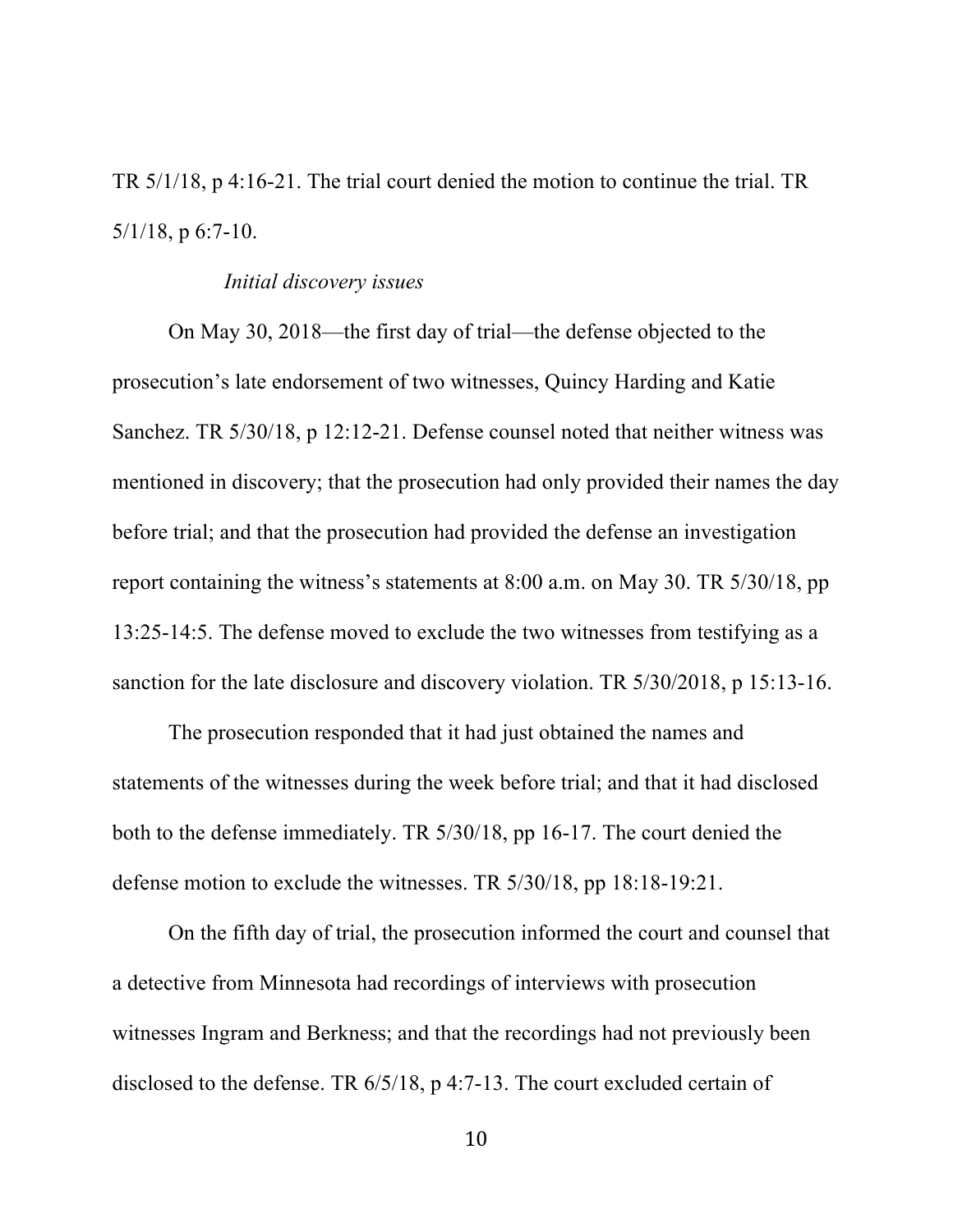TR 5/1/18, p 4:16-21. The trial court denied the motion to continue the trial. TR  $5/1/18$ , p 6:7-10.

#### *Initial discovery issues*

On May 30, 2018—the first day of trial—the defense objected to the prosecution's late endorsement of two witnesses, Quincy Harding and Katie Sanchez. TR 5/30/18, p 12:12-21. Defense counsel noted that neither witness was mentioned in discovery; that the prosecution had only provided their names the day before trial; and that the prosecution had provided the defense an investigation report containing the witness's statements at 8:00 a.m. on May 30. TR 5/30/18, pp 13:25-14:5. The defense moved to exclude the two witnesses from testifying as a sanction for the late disclosure and discovery violation. TR 5/30/2018, p 15:13-16.

The prosecution responded that it had just obtained the names and statements of the witnesses during the week before trial; and that it had disclosed both to the defense immediately. TR 5/30/18, pp 16-17. The court denied the defense motion to exclude the witnesses. TR 5/30/18, pp 18:18-19:21.

On the fifth day of trial, the prosecution informed the court and counsel that a detective from Minnesota had recordings of interviews with prosecution witnesses Ingram and Berkness; and that the recordings had not previously been disclosed to the defense. TR 6/5/18, p 4:7-13. The court excluded certain of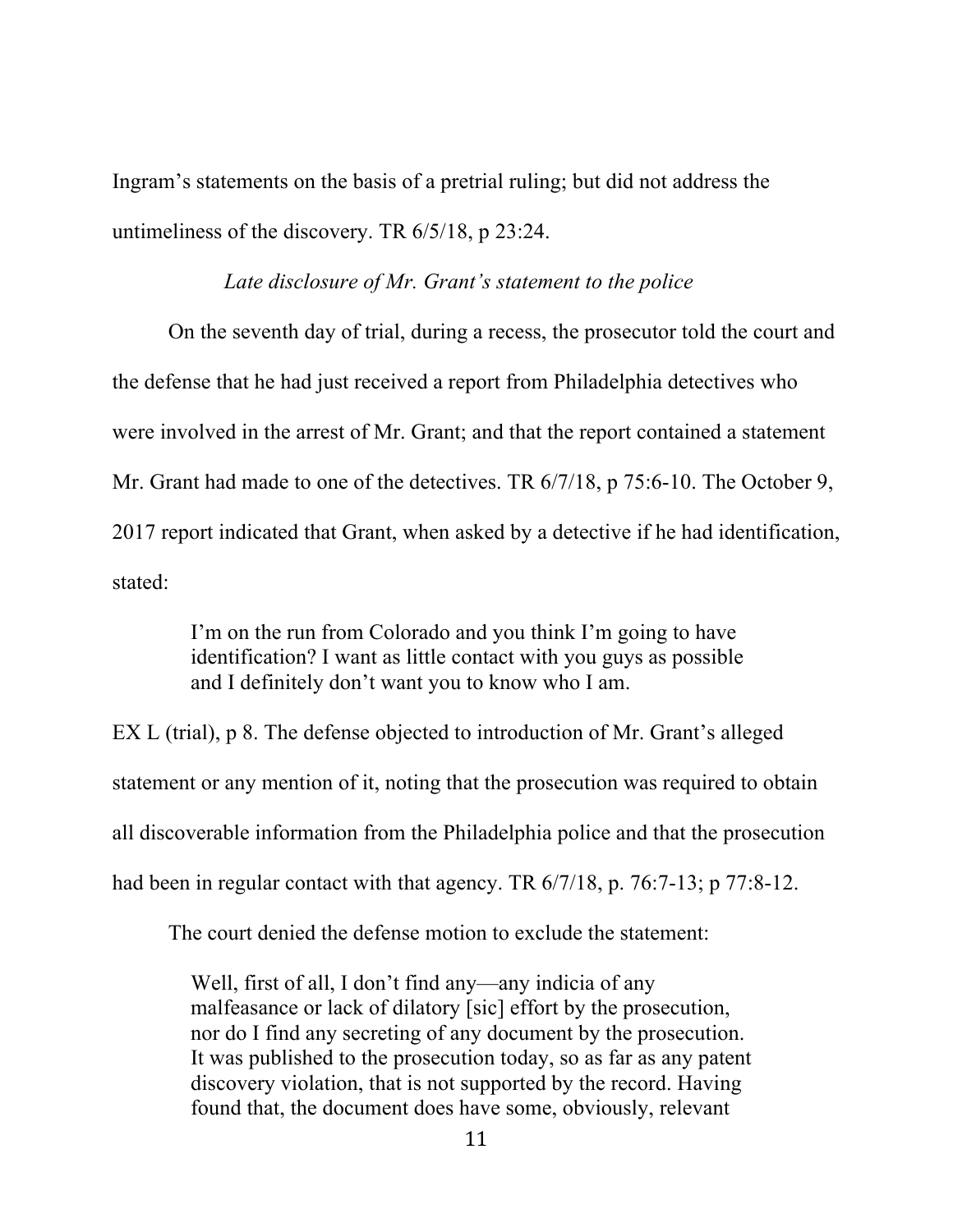Ingram's statements on the basis of a pretrial ruling; but did not address the untimeliness of the discovery. TR 6/5/18, p 23:24.

#### *Late disclosure of Mr. Grant's statement to the police*

On the seventh day of trial, during a recess, the prosecutor told the court and the defense that he had just received a report from Philadelphia detectives who were involved in the arrest of Mr. Grant; and that the report contained a statement Mr. Grant had made to one of the detectives. TR 6/7/18, p 75:6-10. The October 9, 2017 report indicated that Grant, when asked by a detective if he had identification, stated:

> I'm on the run from Colorado and you think I'm going to have identification? I want as little contact with you guys as possible and I definitely don't want you to know who I am.

EX L (trial), p 8. The defense objected to introduction of Mr. Grant's alleged statement or any mention of it, noting that the prosecution was required to obtain all discoverable information from the Philadelphia police and that the prosecution had been in regular contact with that agency. TR 6/7/18, p. 76:7-13; p 77:8-12.

The court denied the defense motion to exclude the statement:

Well, first of all, I don't find any—any indicia of any malfeasance or lack of dilatory [sic] effort by the prosecution, nor do I find any secreting of any document by the prosecution. It was published to the prosecution today, so as far as any patent discovery violation, that is not supported by the record. Having found that, the document does have some, obviously, relevant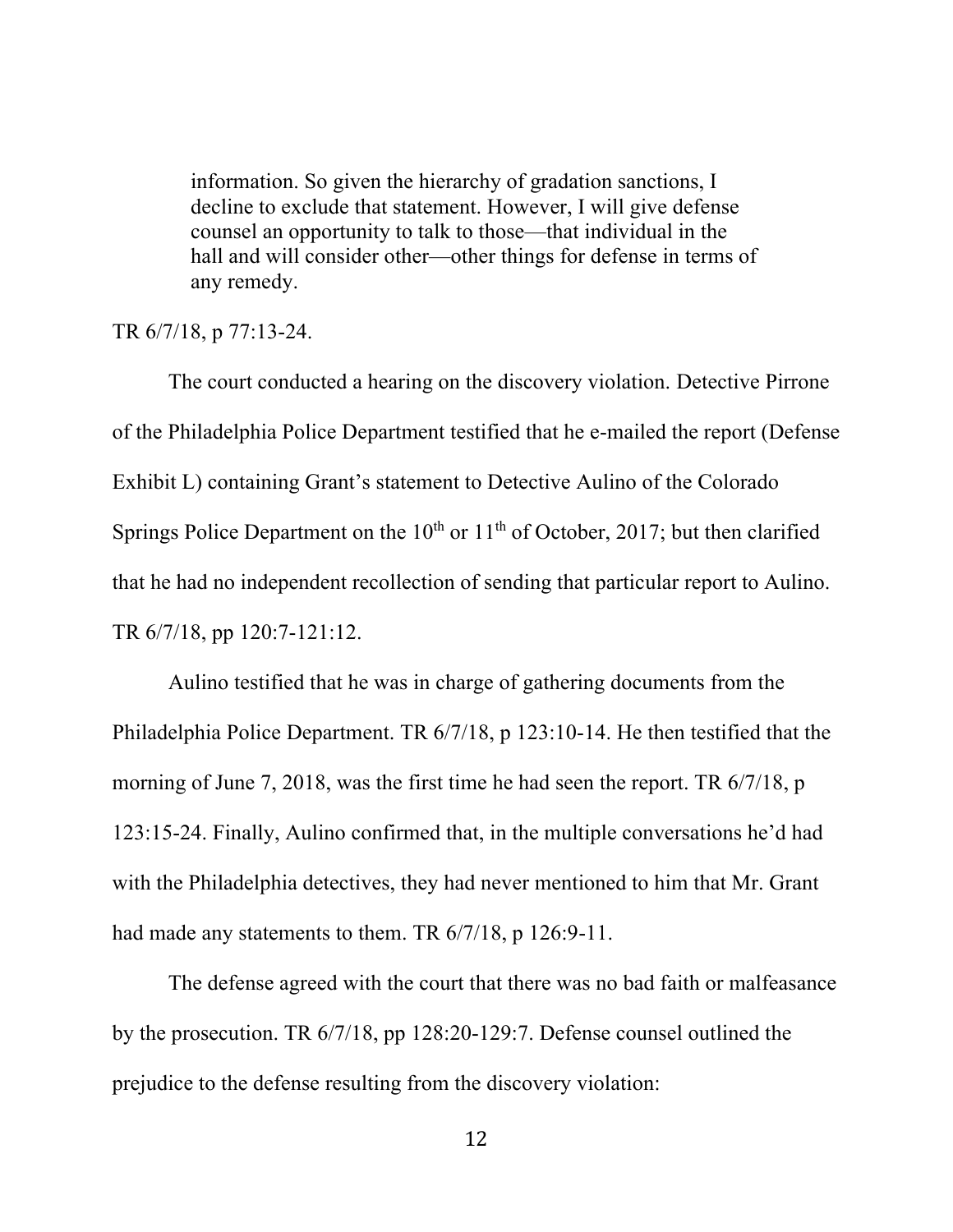information. So given the hierarchy of gradation sanctions, I decline to exclude that statement. However, I will give defense counsel an opportunity to talk to those—that individual in the hall and will consider other—other things for defense in terms of any remedy.

#### TR 6/7/18, p 77:13-24.

The court conducted a hearing on the discovery violation. Detective Pirrone of the Philadelphia Police Department testified that he e-mailed the report (Defense Exhibit L) containing Grant's statement to Detective Aulino of the Colorado Springs Police Department on the  $10<sup>th</sup>$  or  $11<sup>th</sup>$  of October, 2017; but then clarified that he had no independent recollection of sending that particular report to Aulino. TR 6/7/18, pp 120:7-121:12.

Aulino testified that he was in charge of gathering documents from the Philadelphia Police Department. TR 6/7/18, p 123:10-14. He then testified that the morning of June 7, 2018, was the first time he had seen the report. TR 6/7/18, p 123:15-24. Finally, Aulino confirmed that, in the multiple conversations he'd had with the Philadelphia detectives, they had never mentioned to him that Mr. Grant had made any statements to them. TR  $6/7/18$ , p 126:9-11.

The defense agreed with the court that there was no bad faith or malfeasance by the prosecution. TR 6/7/18, pp 128:20-129:7. Defense counsel outlined the prejudice to the defense resulting from the discovery violation: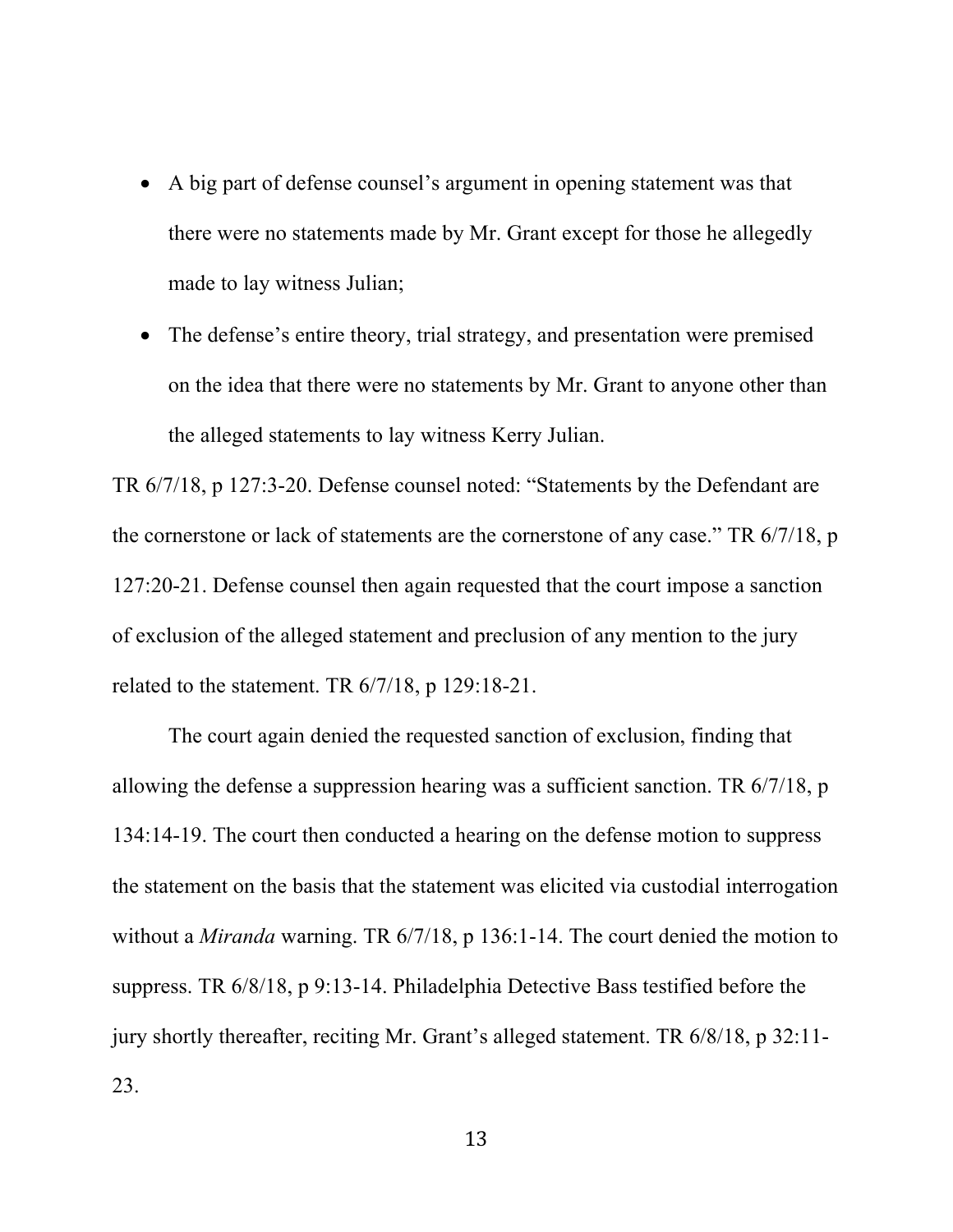- A big part of defense counsel's argument in opening statement was that there were no statements made by Mr. Grant except for those he allegedly made to lay witness Julian;
- The defense's entire theory, trial strategy, and presentation were premised on the idea that there were no statements by Mr. Grant to anyone other than the alleged statements to lay witness Kerry Julian.

TR 6/7/18, p 127:3-20. Defense counsel noted: "Statements by the Defendant are the cornerstone or lack of statements are the cornerstone of any case." TR 6/7/18, p 127:20-21. Defense counsel then again requested that the court impose a sanction of exclusion of the alleged statement and preclusion of any mention to the jury related to the statement. TR 6/7/18, p 129:18-21.

The court again denied the requested sanction of exclusion, finding that allowing the defense a suppression hearing was a sufficient sanction. TR 6/7/18, p 134:14-19. The court then conducted a hearing on the defense motion to suppress the statement on the basis that the statement was elicited via custodial interrogation without a *Miranda* warning. TR 6/7/18, p 136:1-14. The court denied the motion to suppress. TR 6/8/18, p 9:13-14. Philadelphia Detective Bass testified before the jury shortly thereafter, reciting Mr. Grant's alleged statement. TR 6/8/18, p 32:11- 23.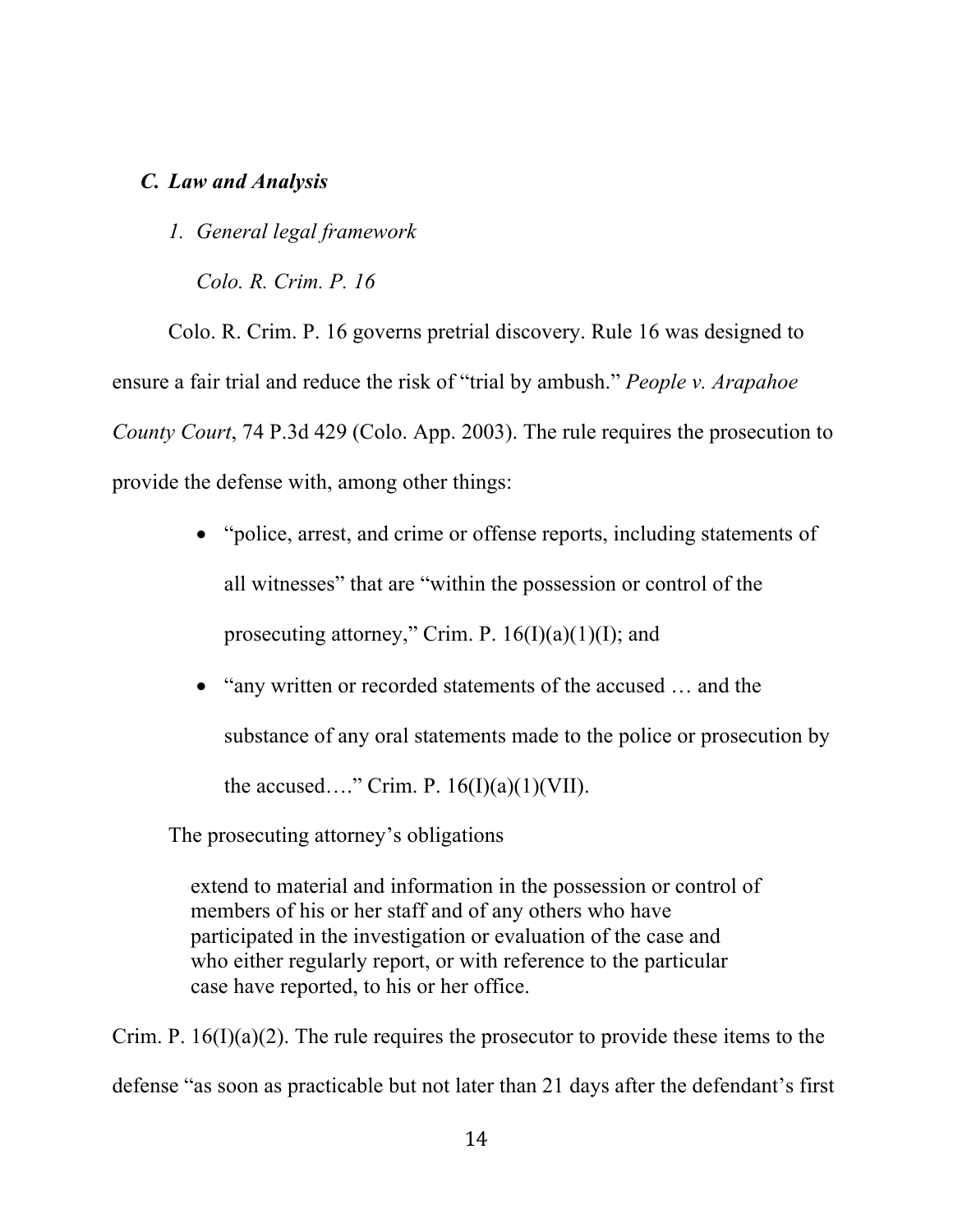## *C. Law and Analysis*

*1. General legal framework*

*Colo. R. Crim. P. 16*

Colo. R. Crim. P. 16 governs pretrial discovery. Rule 16 was designed to ensure a fair trial and reduce the risk of "trial by ambush." *People v. Arapahoe County Court*, 74 P.3d 429 (Colo. App. 2003). The rule requires the prosecution to provide the defense with, among other things:

- "police, arrest, and crime or offense reports, including statements of all witnesses" that are "within the possession or control of the prosecuting attorney," Crim. P.  $16(I)(a)(1)(I)$ ; and
- "any written or recorded statements of the accused ... and the substance of any oral statements made to the police or prosecution by the accused…." Crim. P.  $16(I)(a)(1)(VII)$ .

The prosecuting attorney's obligations

extend to material and information in the possession or control of members of his or her staff and of any others who have participated in the investigation or evaluation of the case and who either regularly report, or with reference to the particular case have reported, to his or her office.

Crim. P.  $16(I)(a)(2)$ . The rule requires the prosecutor to provide these items to the defense "as soon as practicable but not later than 21 days after the defendant's first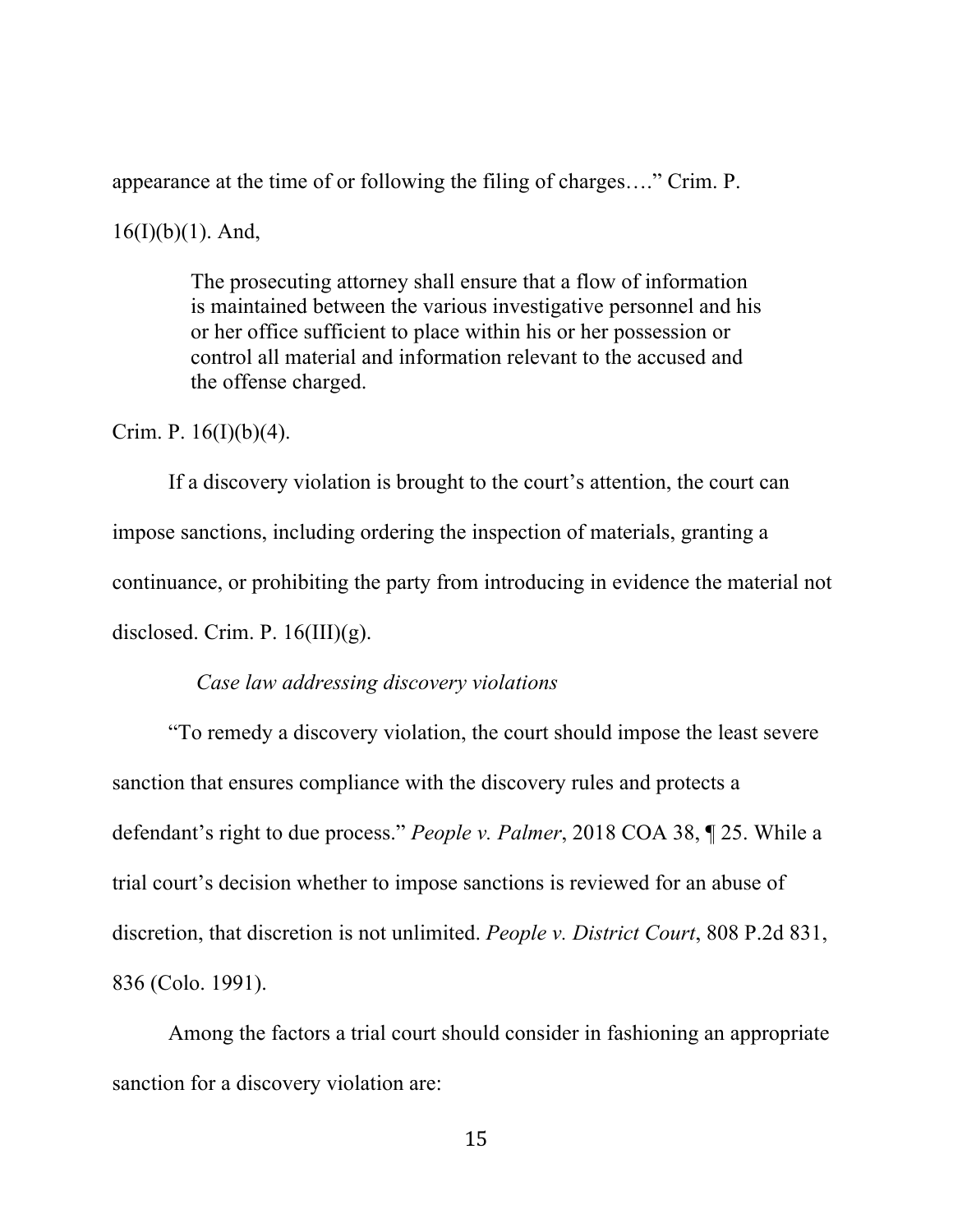appearance at the time of or following the filing of charges…." Crim. P.

 $16(I)(b)(1)$ . And,

The prosecuting attorney shall ensure that a flow of information is maintained between the various investigative personnel and his or her office sufficient to place within his or her possession or control all material and information relevant to the accused and the offense charged.

Crim. P.  $16(I)(b)(4)$ .

If a discovery violation is brought to the court's attention, the court can impose sanctions, including ordering the inspection of materials, granting a continuance, or prohibiting the party from introducing in evidence the material not disclosed. Crim. P.  $16(III)(g)$ .

#### *Case law addressing discovery violations*

"To remedy a discovery violation, the court should impose the least severe sanction that ensures compliance with the discovery rules and protects a defendant's right to due process." *People v. Palmer*, 2018 COA 38, ¶ 25. While a trial court's decision whether to impose sanctions is reviewed for an abuse of discretion, that discretion is not unlimited. *People v. District Court*, 808 P.2d 831, 836 (Colo. 1991).

Among the factors a trial court should consider in fashioning an appropriate sanction for a discovery violation are: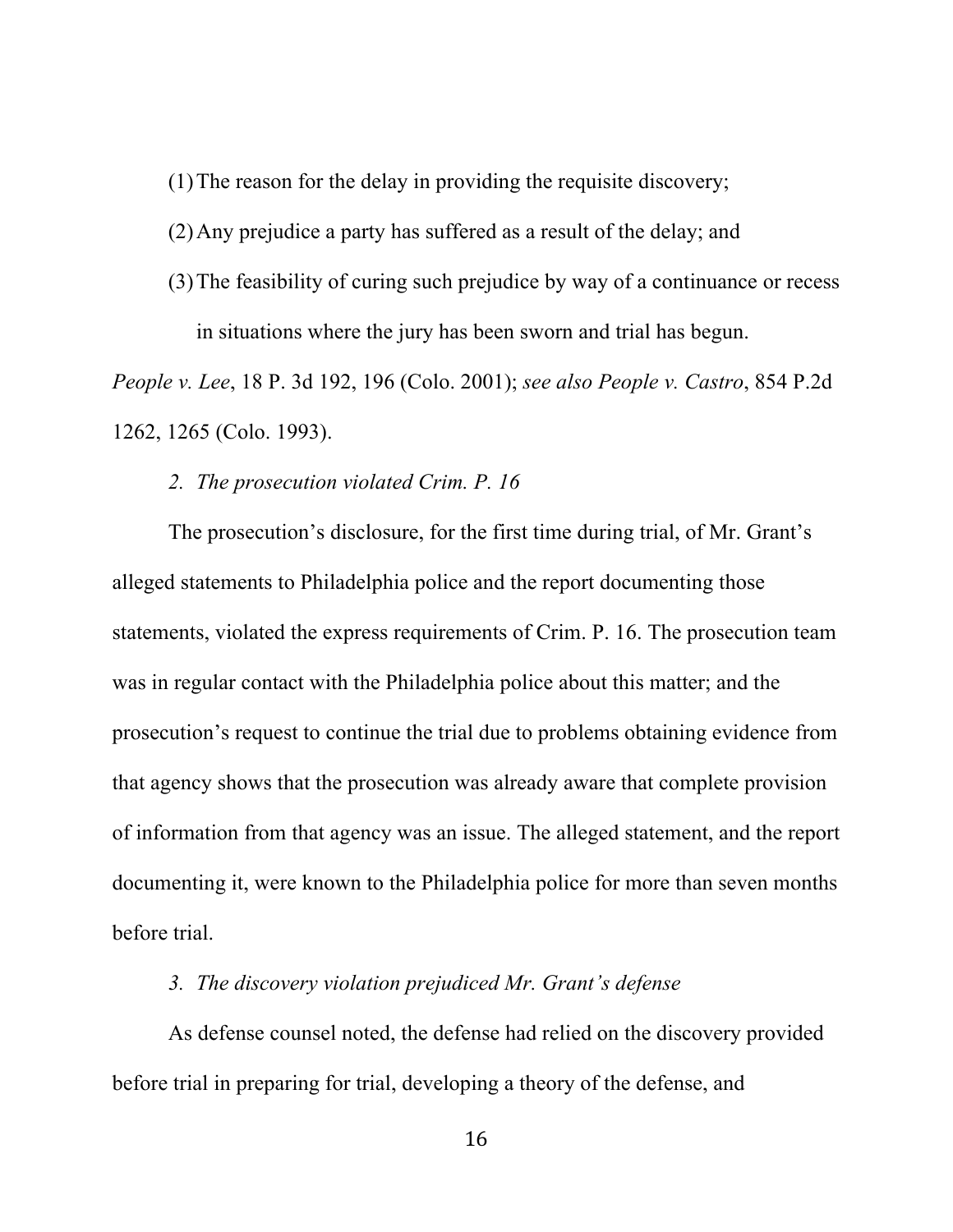(1)The reason for the delay in providing the requisite discovery;

(2)Any prejudice a party has suffered as a result of the delay; and

(3)The feasibility of curing such prejudice by way of a continuance or recess in situations where the jury has been sworn and trial has begun.

*People v. Lee*, 18 P. 3d 192, 196 (Colo. 2001); *see also People v. Castro*, 854 P.2d 1262, 1265 (Colo. 1993).

#### *2. The prosecution violated Crim. P. 16*

The prosecution's disclosure, for the first time during trial, of Mr. Grant's alleged statements to Philadelphia police and the report documenting those statements, violated the express requirements of Crim. P. 16. The prosecution team was in regular contact with the Philadelphia police about this matter; and the prosecution's request to continue the trial due to problems obtaining evidence from that agency shows that the prosecution was already aware that complete provision of information from that agency was an issue. The alleged statement, and the report documenting it, were known to the Philadelphia police for more than seven months before trial.

*3. The discovery violation prejudiced Mr. Grant's defense*

As defense counsel noted, the defense had relied on the discovery provided before trial in preparing for trial, developing a theory of the defense, and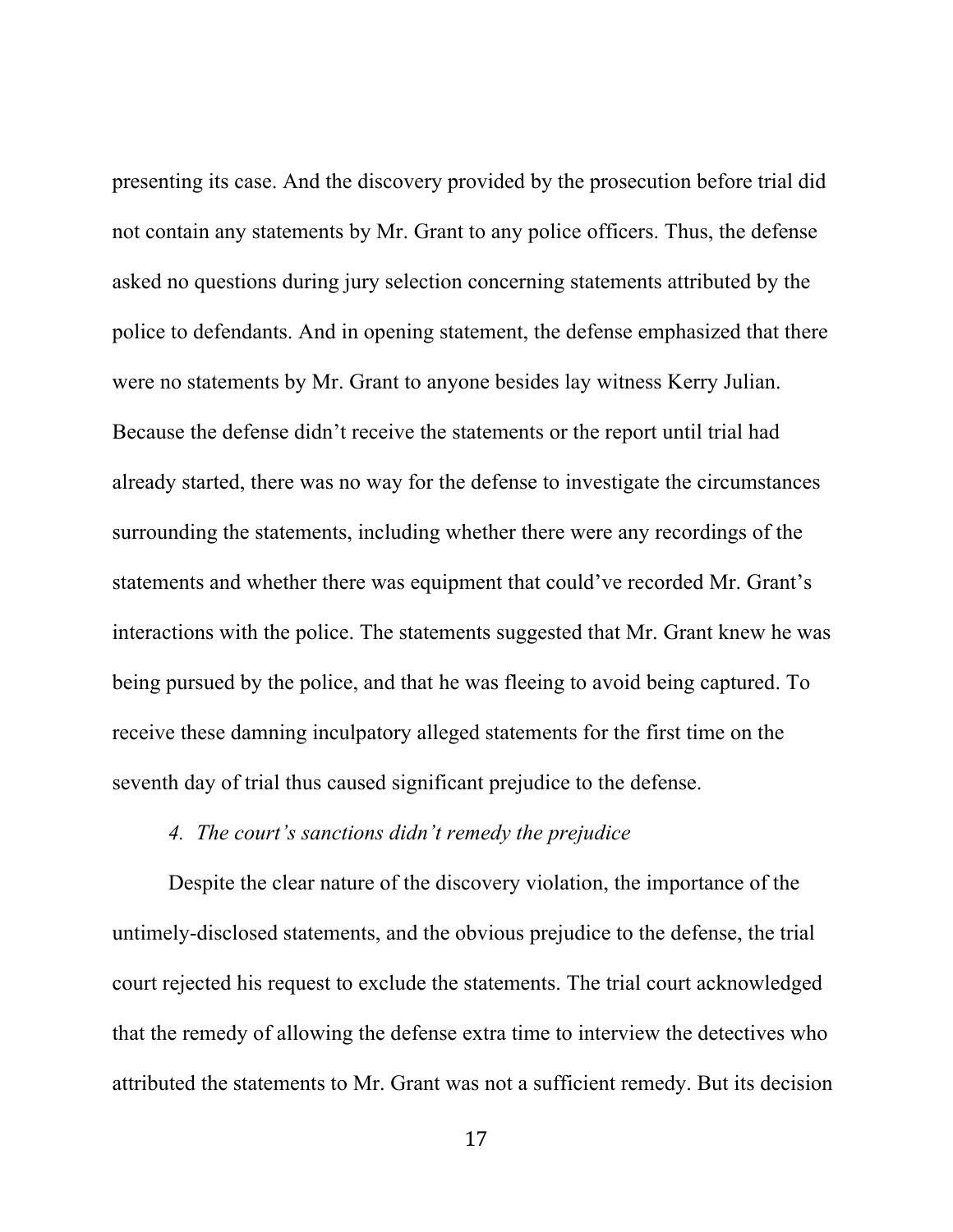presenting its case. And the discovery provided by the prosecution before trial did not contain any statements by Mr. Grant to any police officers. Thus, the defense asked no questions during jury selection concerning statements attributed by the police to defendants. And in opening statement, the defense emphasized that there were no statements by Mr. Grant to anyone besides lay witness Kerry Julian. Because the defense didn't receive the statements or the report until trial had already started, there was no way for the defense to investigate the circumstances surrounding the statements, including whether there were any recordings of the statements and whether there was equipment that could've recorded Mr. Grant's interactions with the police. The statements suggested that Mr. Grant knew he was being pursued by the police, and that he was fleeing to avoid being captured. To receive these damning inculpatory alleged statements for the first time on the seventh day of trial thus caused significant prejudice to the defense.

## *4. The court's sanctions didn't remedy the prejudice*

Despite the clear nature of the discovery violation, the importance of the untimely-disclosed statements, and the obvious prejudice to the defense, the trial court rejected his request to exclude the statements. The trial court acknowledged that the remedy of allowing the defense extra time to interview the detectives who attributed the statements to Mr. Grant was not a sufficient remedy. But its decision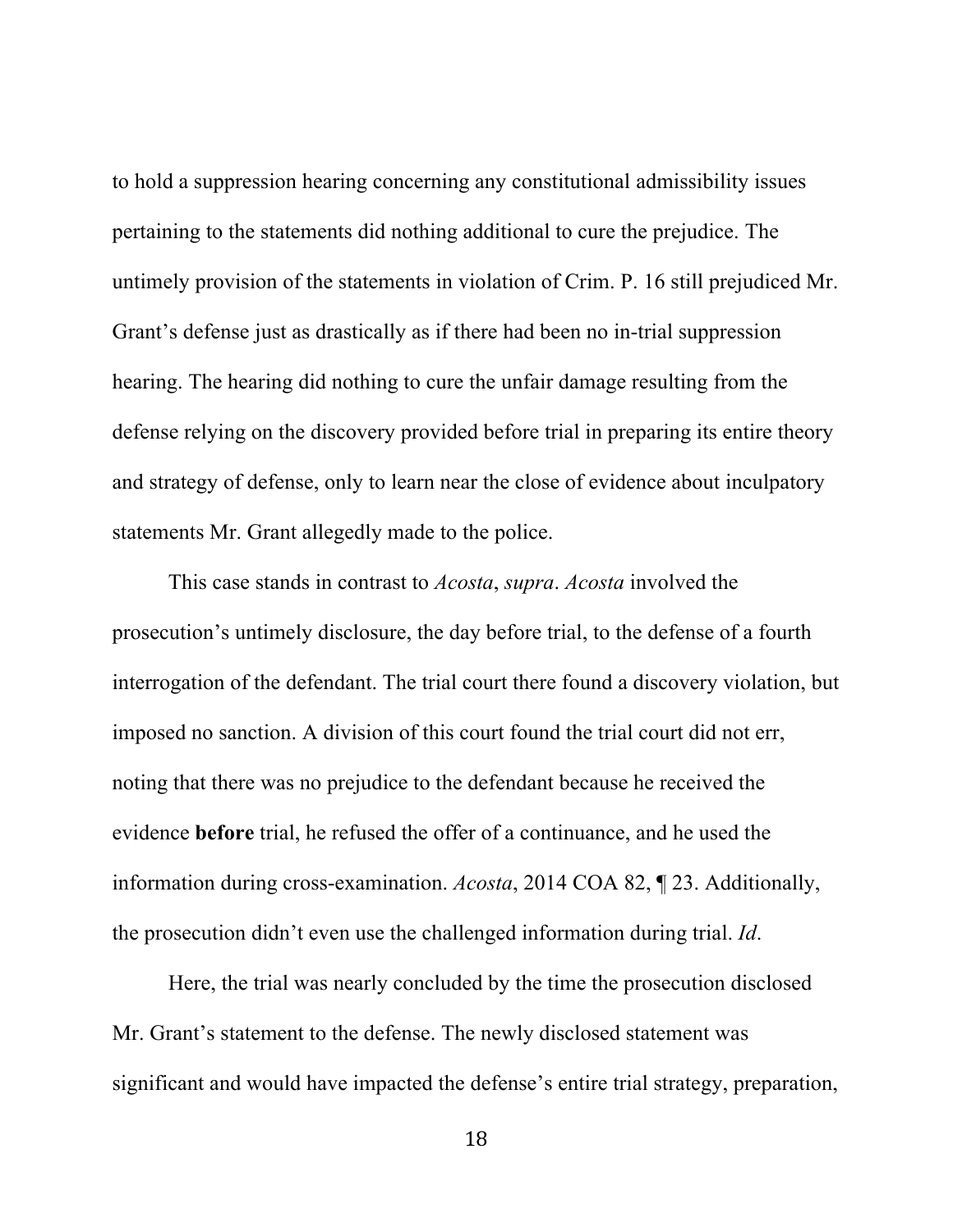to hold a suppression hearing concerning any constitutional admissibility issues pertaining to the statements did nothing additional to cure the prejudice. The untimely provision of the statements in violation of Crim. P. 16 still prejudiced Mr. Grant's defense just as drastically as if there had been no in-trial suppression hearing. The hearing did nothing to cure the unfair damage resulting from the defense relying on the discovery provided before trial in preparing its entire theory and strategy of defense, only to learn near the close of evidence about inculpatory statements Mr. Grant allegedly made to the police.

This case stands in contrast to *Acosta*, *supra*. *Acosta* involved the prosecution's untimely disclosure, the day before trial, to the defense of a fourth interrogation of the defendant. The trial court there found a discovery violation, but imposed no sanction. A division of this court found the trial court did not err, noting that there was no prejudice to the defendant because he received the evidence **before** trial, he refused the offer of a continuance, and he used the information during cross-examination. *Acosta*, 2014 COA 82, ¶ 23. Additionally, the prosecution didn't even use the challenged information during trial. *Id*.

Here, the trial was nearly concluded by the time the prosecution disclosed Mr. Grant's statement to the defense. The newly disclosed statement was significant and would have impacted the defense's entire trial strategy, preparation,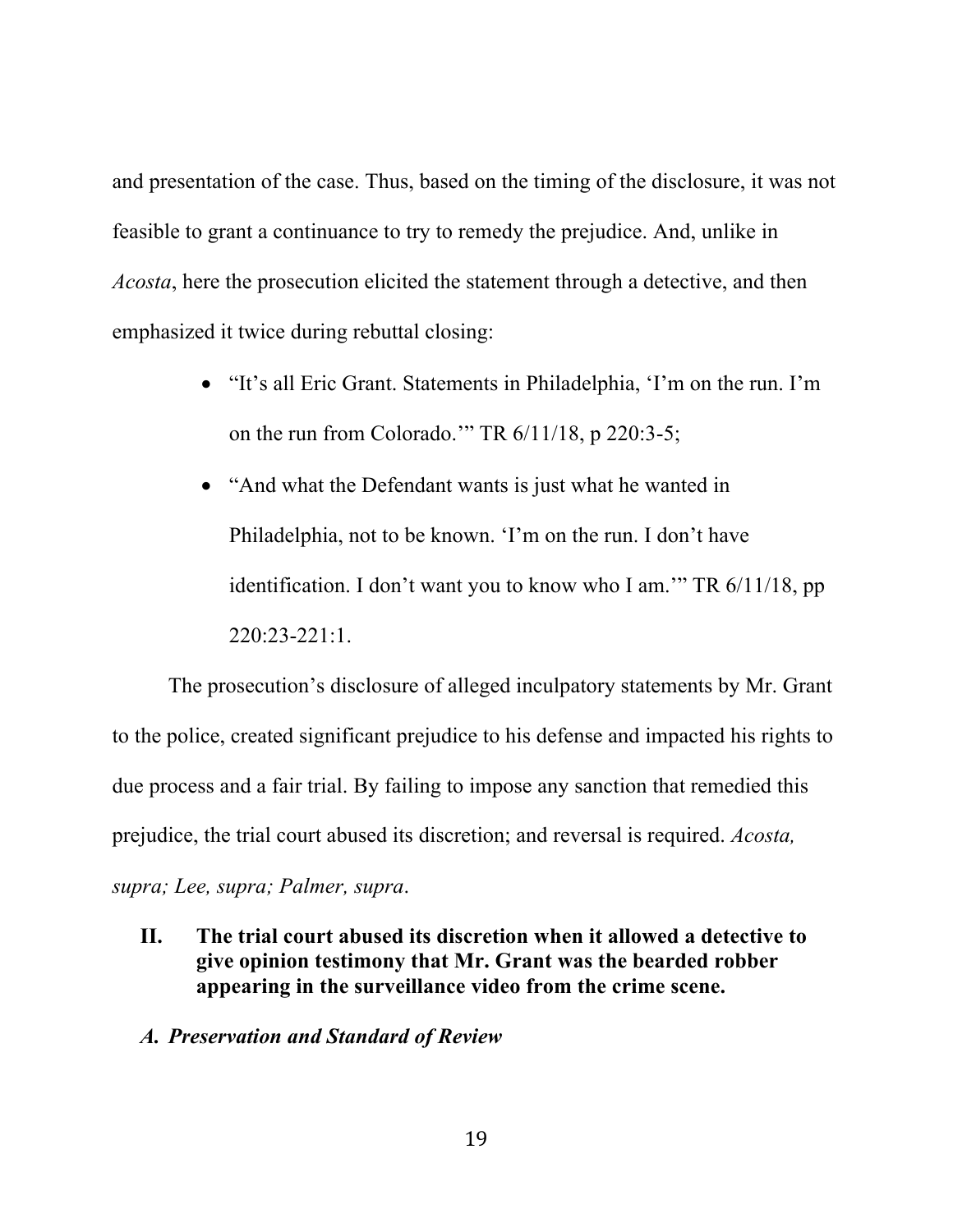and presentation of the case. Thus, based on the timing of the disclosure, it was not feasible to grant a continuance to try to remedy the prejudice. And, unlike in *Acosta*, here the prosecution elicited the statement through a detective, and then emphasized it twice during rebuttal closing:

- "It's all Eric Grant. Statements in Philadelphia, 'I'm on the run. I'm on the run from Colorado.'" TR 6/11/18, p 220:3-5;
- "And what the Defendant wants is just what he wanted in Philadelphia, not to be known. 'I'm on the run. I don't have identification. I don't want you to know who I am." TR 6/11/18, pp 220:23-221:1.

The prosecution's disclosure of alleged inculpatory statements by Mr. Grant to the police, created significant prejudice to his defense and impacted his rights to due process and a fair trial. By failing to impose any sanction that remedied this prejudice, the trial court abused its discretion; and reversal is required. *Acosta, supra; Lee, supra; Palmer, supra*.

**II. The trial court abused its discretion when it allowed a detective to give opinion testimony that Mr. Grant was the bearded robber appearing in the surveillance video from the crime scene.**

#### *A. Preservation and Standard of Review*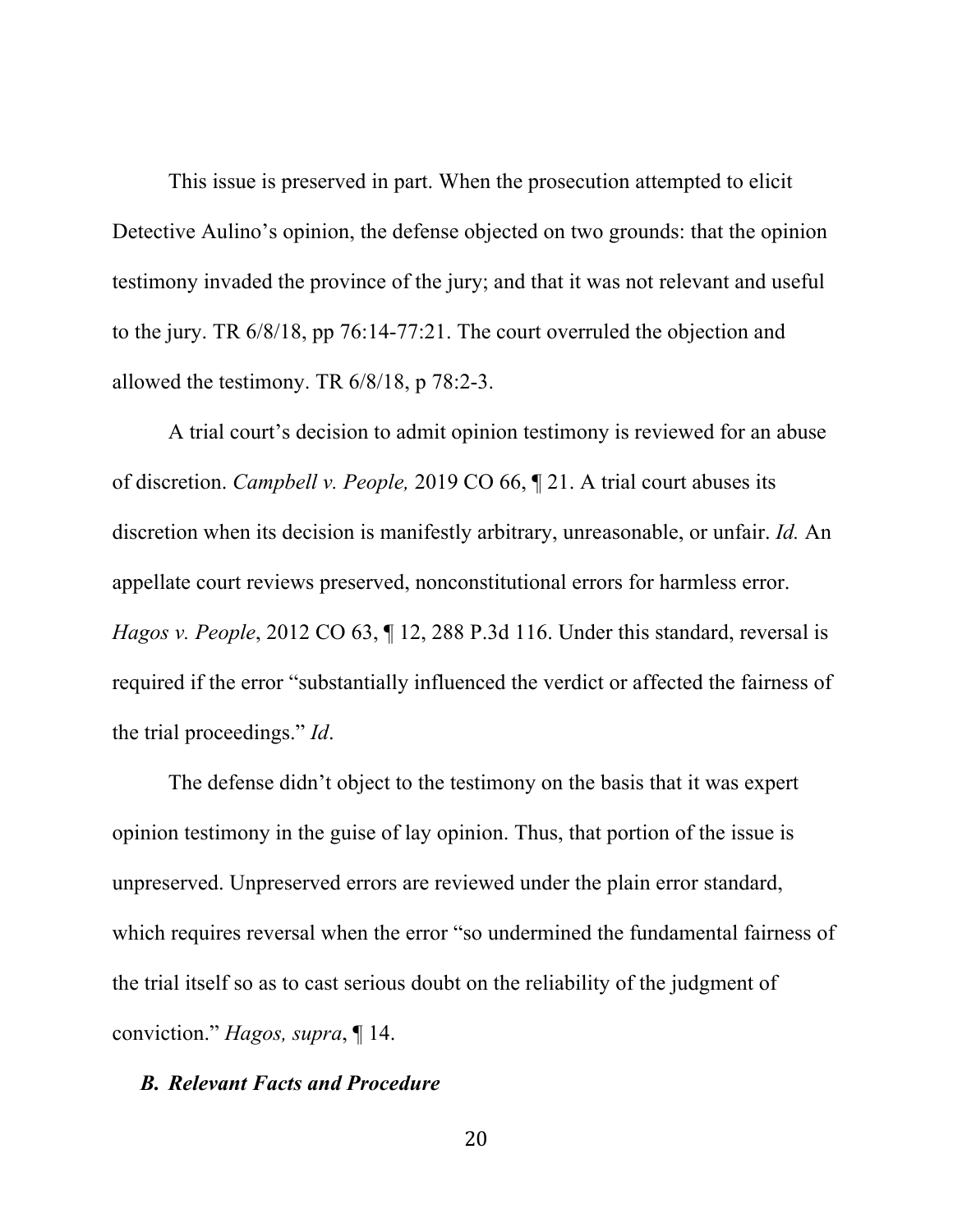This issue is preserved in part. When the prosecution attempted to elicit Detective Aulino's opinion, the defense objected on two grounds: that the opinion testimony invaded the province of the jury; and that it was not relevant and useful to the jury. TR 6/8/18, pp 76:14-77:21. The court overruled the objection and allowed the testimony. TR 6/8/18, p 78:2-3.

A trial court's decision to admit opinion testimony is reviewed for an abuse of discretion. *Campbell v. People,* 2019 CO 66, ¶ 21. A trial court abuses its discretion when its decision is manifestly arbitrary, unreasonable, or unfair. *Id.* An appellate court reviews preserved, nonconstitutional errors for harmless error. *Hagos v. People*, 2012 CO 63, 12, 288 P.3d 116. Under this standard, reversal is required if the error "substantially influenced the verdict or affected the fairness of the trial proceedings." *Id*.

The defense didn't object to the testimony on the basis that it was expert opinion testimony in the guise of lay opinion. Thus, that portion of the issue is unpreserved. Unpreserved errors are reviewed under the plain error standard, which requires reversal when the error "so undermined the fundamental fairness of the trial itself so as to cast serious doubt on the reliability of the judgment of conviction." *Hagos, supra*, ¶ 14.

#### *B. Relevant Facts and Procedure*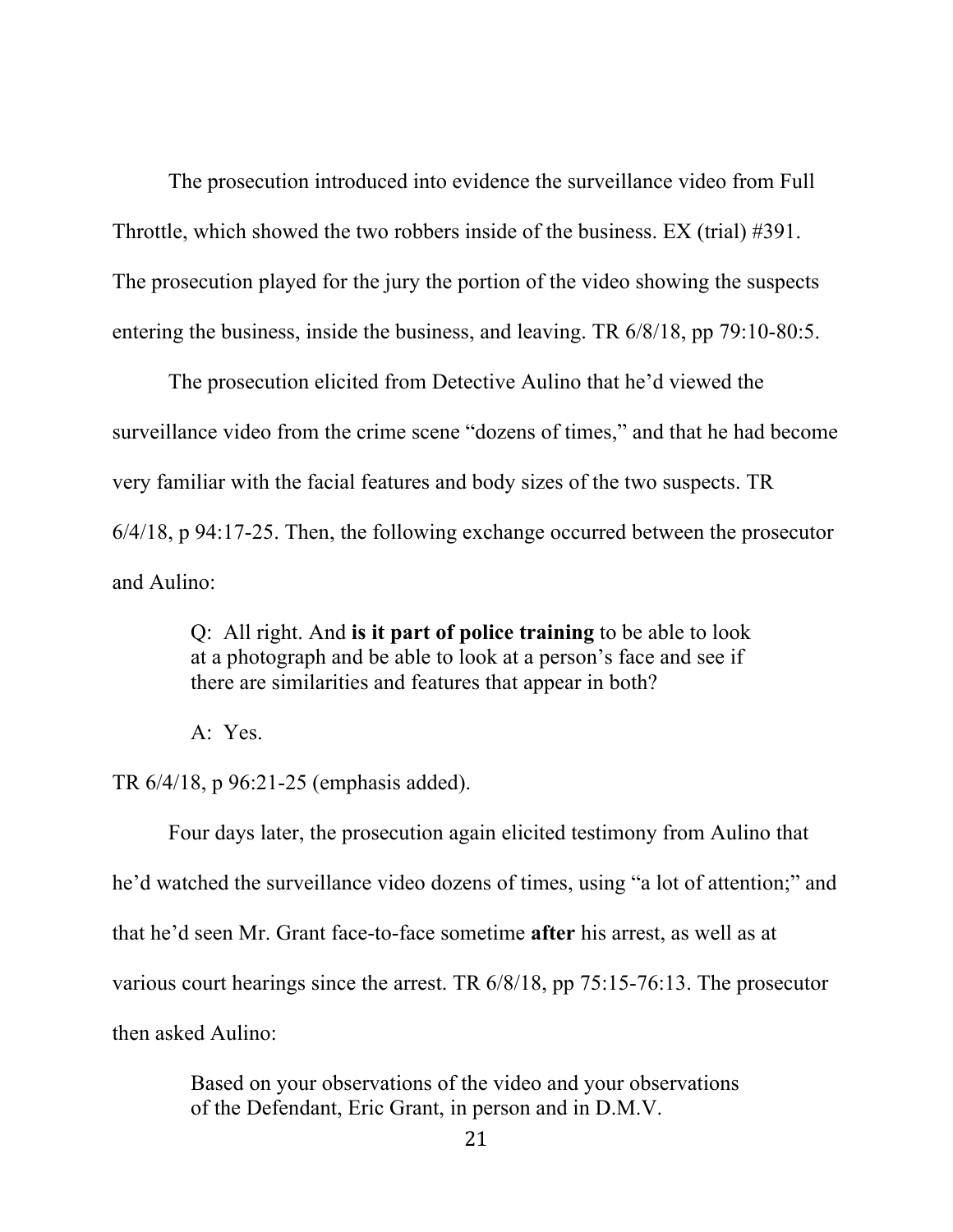The prosecution introduced into evidence the surveillance video from Full Throttle, which showed the two robbers inside of the business. EX (trial) #391. The prosecution played for the jury the portion of the video showing the suspects entering the business, inside the business, and leaving. TR 6/8/18, pp 79:10-80:5.

The prosecution elicited from Detective Aulino that he'd viewed the surveillance video from the crime scene "dozens of times," and that he had become very familiar with the facial features and body sizes of the two suspects. TR 6/4/18, p 94:17-25. Then, the following exchange occurred between the prosecutor and Aulino:

> Q: All right. And **is it part of police training** to be able to look at a photograph and be able to look at a person's face and see if there are similarities and features that appear in both?

A: Yes.

TR 6/4/18, p 96:21-25 (emphasis added).

Four days later, the prosecution again elicited testimony from Aulino that he'd watched the surveillance video dozens of times, using "a lot of attention;" and that he'd seen Mr. Grant face-to-face sometime **after** his arrest, as well as at various court hearings since the arrest. TR 6/8/18, pp 75:15-76:13. The prosecutor then asked Aulino:

> Based on your observations of the video and your observations of the Defendant, Eric Grant, in person and in D.M.V.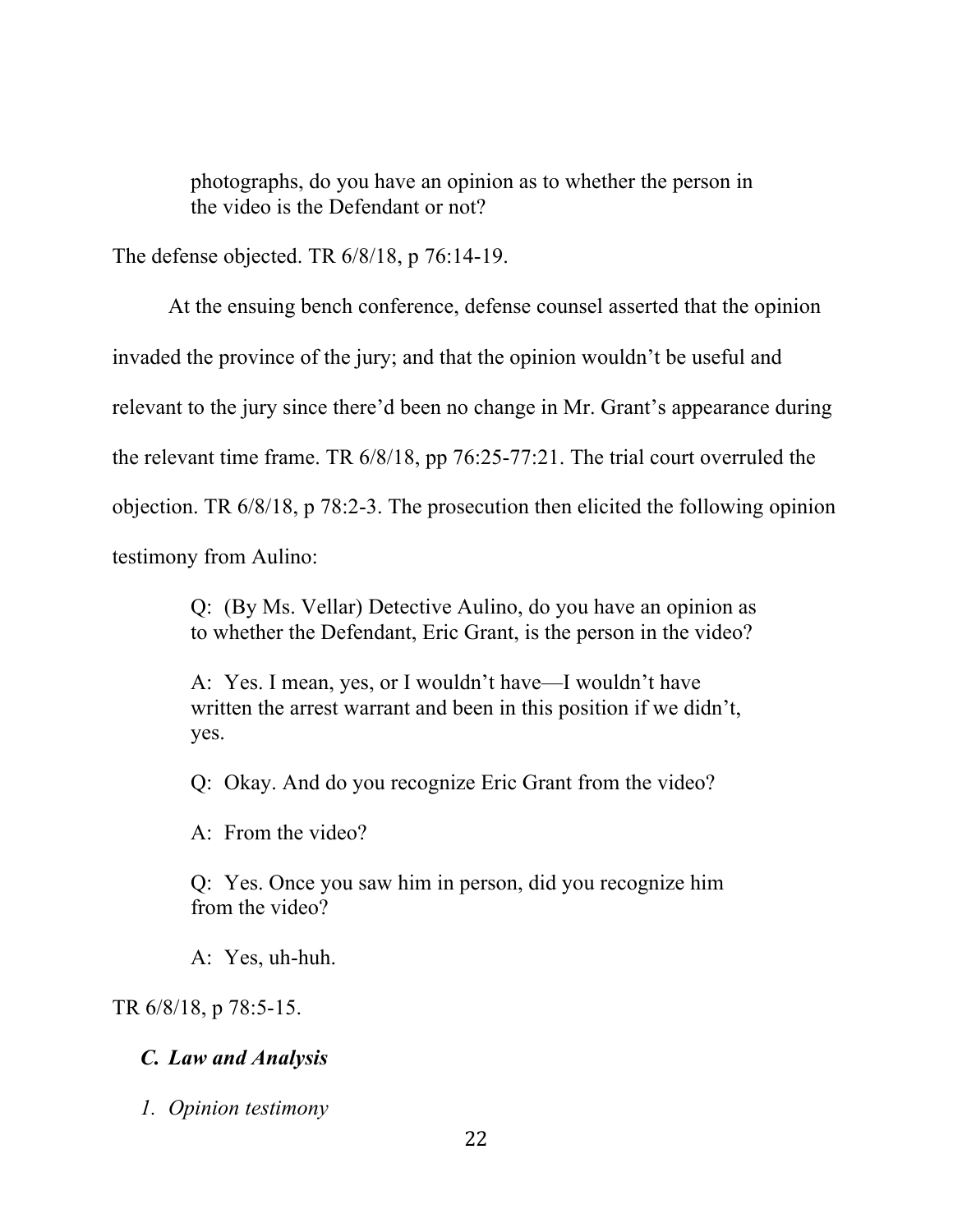photographs, do you have an opinion as to whether the person in the video is the Defendant or not?

The defense objected. TR 6/8/18, p 76:14-19.

At the ensuing bench conference, defense counsel asserted that the opinion invaded the province of the jury; and that the opinion wouldn't be useful and relevant to the jury since there'd been no change in Mr. Grant's appearance during the relevant time frame. TR 6/8/18, pp 76:25-77:21. The trial court overruled the objection. TR 6/8/18, p 78:2-3. The prosecution then elicited the following opinion testimony from Aulino:

> Q: (By Ms. Vellar) Detective Aulino, do you have an opinion as to whether the Defendant, Eric Grant, is the person in the video?

A: Yes. I mean, yes, or I wouldn't have—I wouldn't have written the arrest warrant and been in this position if we didn't, yes.

Q: Okay. And do you recognize Eric Grant from the video?

A: From the video?

Q: Yes. Once you saw him in person, did you recognize him from the video?

A: Yes, uh-huh.

TR 6/8/18, p 78:5-15.

## *C. Law and Analysis*

*1. Opinion testimony*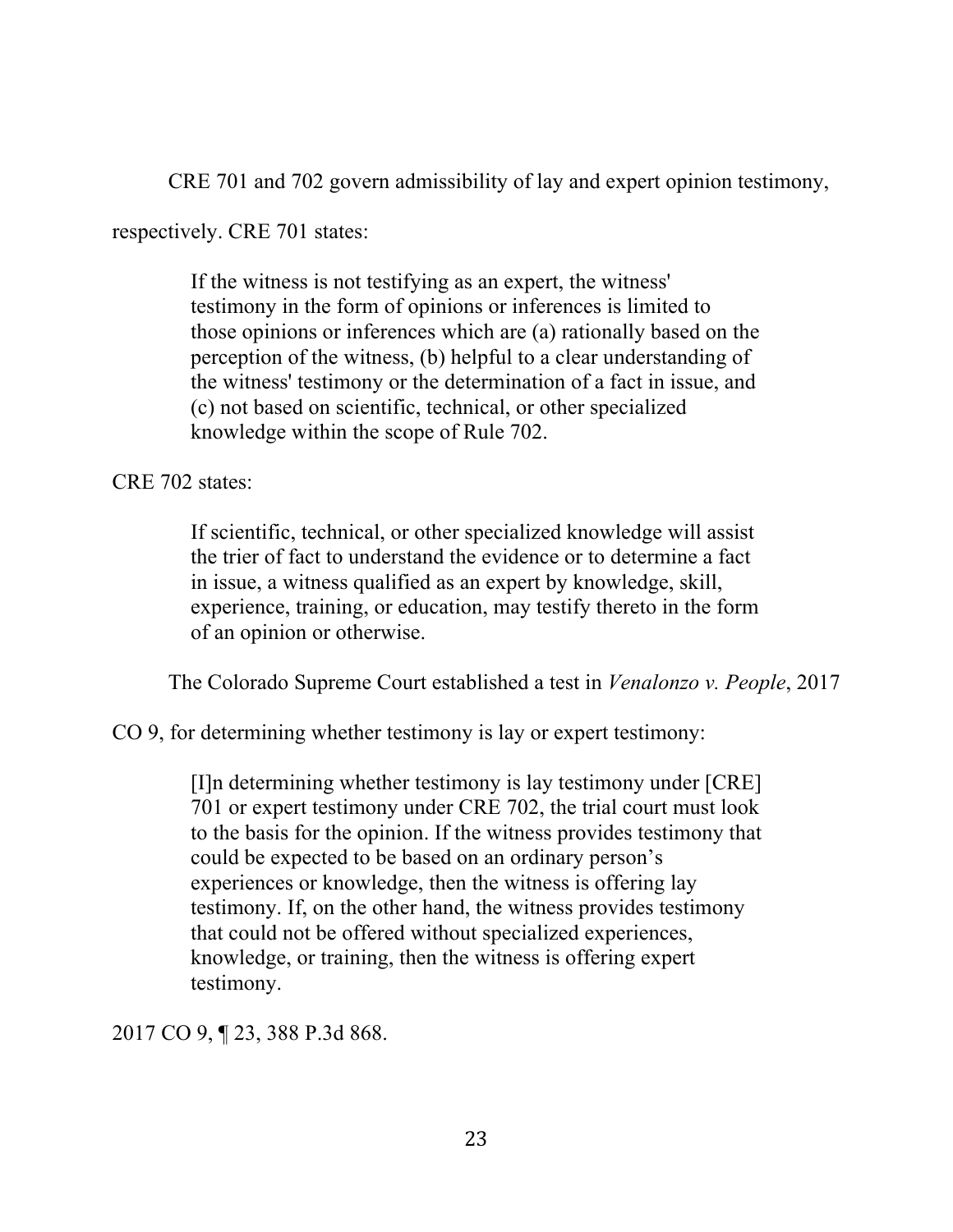CRE 701 and 702 govern admissibility of lay and expert opinion testimony,

respectively. CRE 701 states:

If the witness is not testifying as an expert, the witness' testimony in the form of opinions or inferences is limited to those opinions or inferences which are (a) rationally based on the perception of the witness, (b) helpful to a clear understanding of the witness' testimony or the determination of a fact in issue, and (c) not based on scientific, technical, or other specialized knowledge within the scope of Rule 702.

CRE 702 states:

If scientific, technical, or other specialized knowledge will assist the trier of fact to understand the evidence or to determine a fact in issue, a witness qualified as an expert by knowledge, skill, experience, training, or education, may testify thereto in the form of an opinion or otherwise.

The Colorado Supreme Court established a test in *Venalonzo v. People*, 2017

CO 9, for determining whether testimony is lay or expert testimony:

[I]n determining whether testimony is lay testimony under [CRE] 701 or expert testimony under CRE 702, the trial court must look to the basis for the opinion. If the witness provides testimony that could be expected to be based on an ordinary person's experiences or knowledge, then the witness is offering lay testimony. If, on the other hand, the witness provides testimony that could not be offered without specialized experiences, knowledge, or training, then the witness is offering expert testimony.

2017 CO 9, ¶ 23, 388 P.3d 868.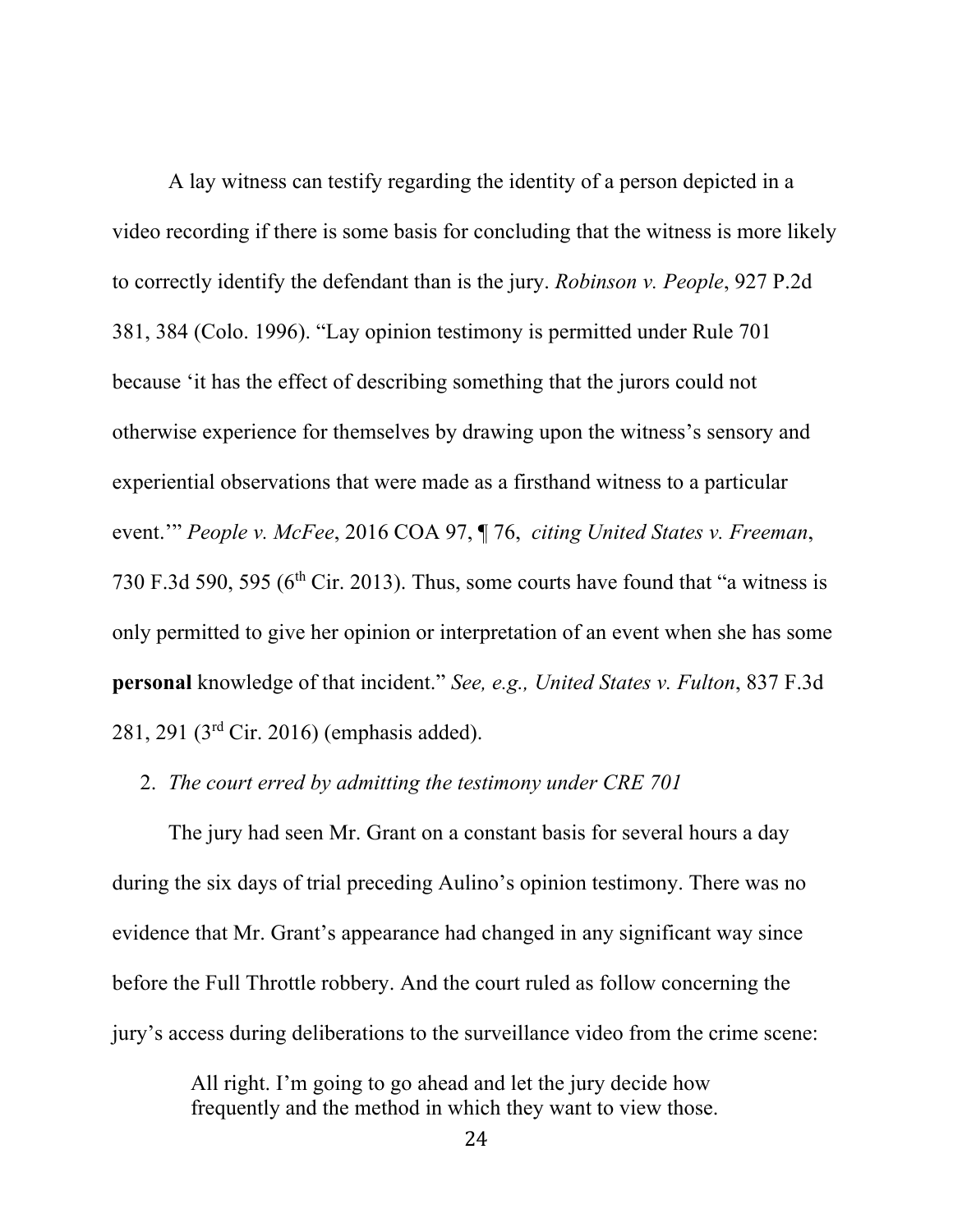A lay witness can testify regarding the identity of a person depicted in a video recording if there is some basis for concluding that the witness is more likely to correctly identify the defendant than is the jury. *Robinson v. People*, 927 P.2d 381, 384 (Colo. 1996). "Lay opinion testimony is permitted under Rule 701 because 'it has the effect of describing something that the jurors could not otherwise experience for themselves by drawing upon the witness's sensory and experiential observations that were made as a firsthand witness to a particular event.'" *People v. McFee*, 2016 COA 97, ¶ 76, *citing United States v. Freeman*, 730 F.3d 590, 595 ( $6<sup>th</sup>$  Cir. 2013). Thus, some courts have found that "a witness is only permitted to give her opinion or interpretation of an event when she has some **personal** knowledge of that incident." *See, e.g., United States v. Fulton*, 837 F.3d 281, 291 (3rd Cir. 2016) (emphasis added).

## 2. *The court erred by admitting the testimony under CRE 701*

The jury had seen Mr. Grant on a constant basis for several hours a day during the six days of trial preceding Aulino's opinion testimony. There was no evidence that Mr. Grant's appearance had changed in any significant way since before the Full Throttle robbery. And the court ruled as follow concerning the jury's access during deliberations to the surveillance video from the crime scene:

> All right. I'm going to go ahead and let the jury decide how frequently and the method in which they want to view those.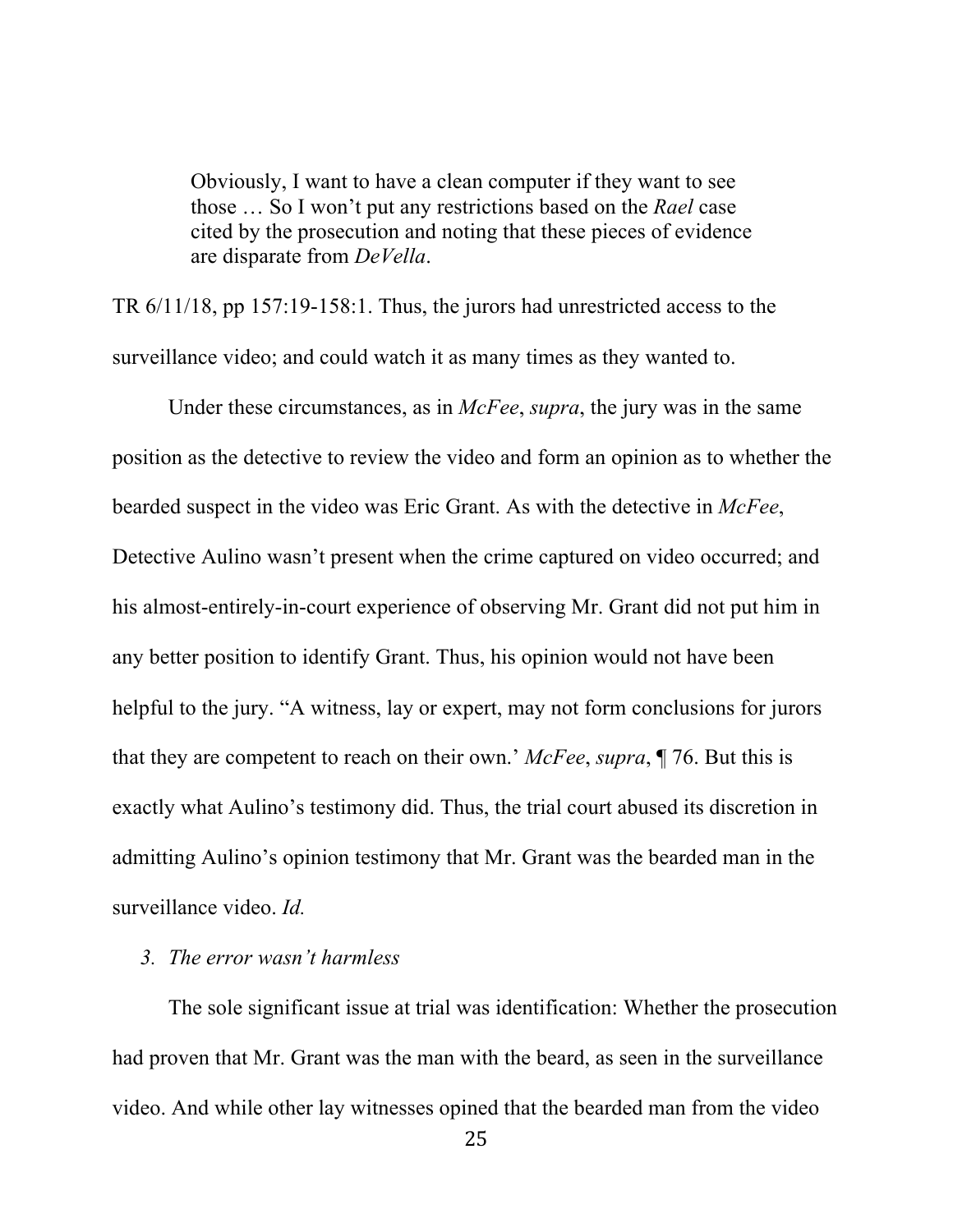Obviously, I want to have a clean computer if they want to see those … So I won't put any restrictions based on the *Rael* case cited by the prosecution and noting that these pieces of evidence are disparate from *DeVella*.

TR 6/11/18, pp 157:19-158:1. Thus, the jurors had unrestricted access to the surveillance video; and could watch it as many times as they wanted to.

Under these circumstances, as in *McFee*, *supra*, the jury was in the same position as the detective to review the video and form an opinion as to whether the bearded suspect in the video was Eric Grant. As with the detective in *McFee*, Detective Aulino wasn't present when the crime captured on video occurred; and his almost-entirely-in-court experience of observing Mr. Grant did not put him in any better position to identify Grant. Thus, his opinion would not have been helpful to the jury. "A witness, lay or expert, may not form conclusions for jurors that they are competent to reach on their own.' *McFee*, *supra*, ¶ 76. But this is exactly what Aulino's testimony did. Thus, the trial court abused its discretion in admitting Aulino's opinion testimony that Mr. Grant was the bearded man in the surveillance video. *Id.*

#### *3. The error wasn't harmless*

The sole significant issue at trial was identification: Whether the prosecution had proven that Mr. Grant was the man with the beard, as seen in the surveillance video. And while other lay witnesses opined that the bearded man from the video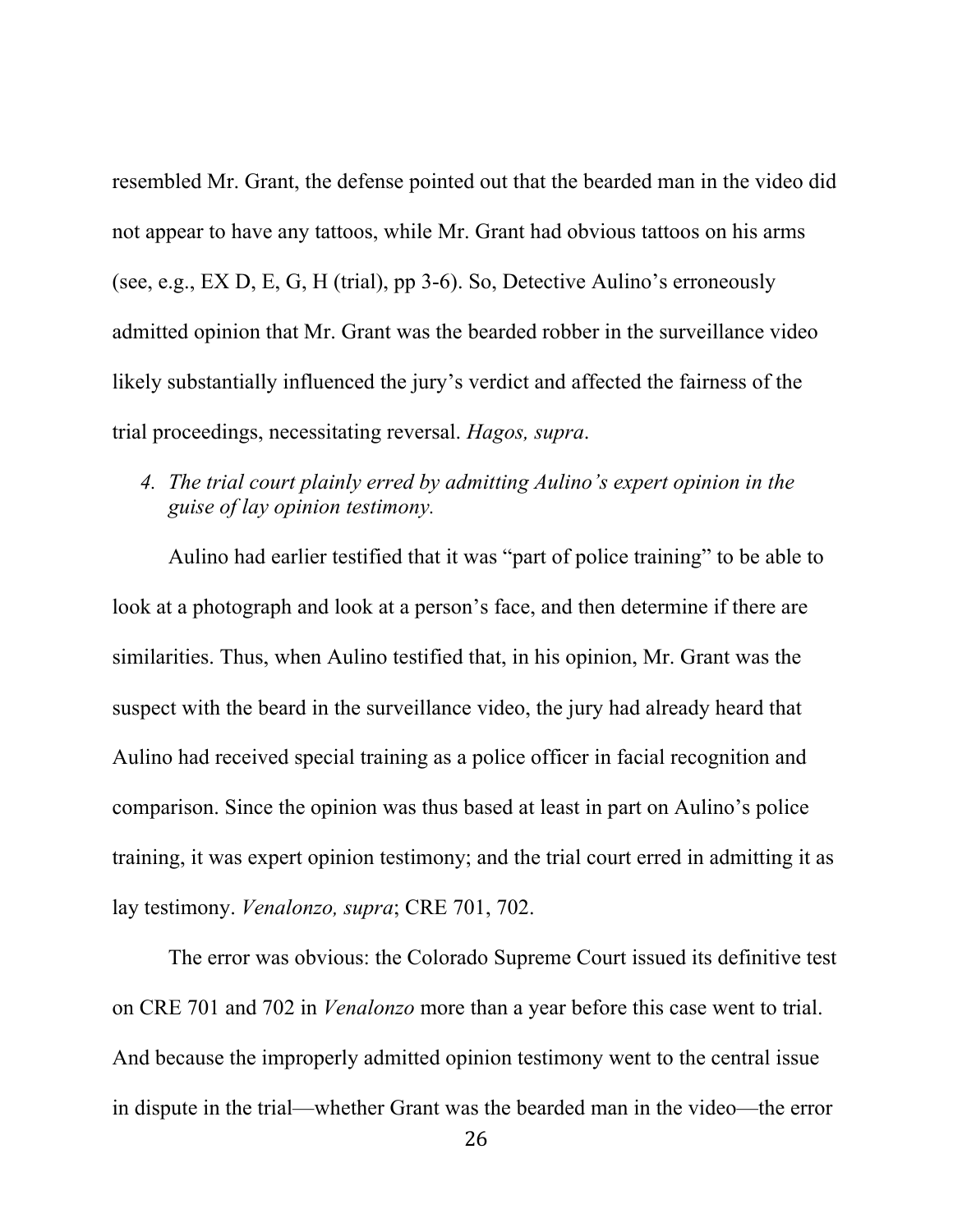resembled Mr. Grant, the defense pointed out that the bearded man in the video did not appear to have any tattoos, while Mr. Grant had obvious tattoos on his arms (see, e.g., EX D, E, G, H (trial), pp 3-6). So, Detective Aulino's erroneously admitted opinion that Mr. Grant was the bearded robber in the surveillance video likely substantially influenced the jury's verdict and affected the fairness of the trial proceedings, necessitating reversal. *Hagos, supra*.

*4. The trial court plainly erred by admitting Aulino's expert opinion in the guise of lay opinion testimony.*

Aulino had earlier testified that it was "part of police training" to be able to look at a photograph and look at a person's face, and then determine if there are similarities. Thus, when Aulino testified that, in his opinion, Mr. Grant was the suspect with the beard in the surveillance video, the jury had already heard that Aulino had received special training as a police officer in facial recognition and comparison. Since the opinion was thus based at least in part on Aulino's police training, it was expert opinion testimony; and the trial court erred in admitting it as lay testimony. *Venalonzo, supra*; CRE 701, 702.

The error was obvious: the Colorado Supreme Court issued its definitive test on CRE 701 and 702 in *Venalonzo* more than a year before this case went to trial. And because the improperly admitted opinion testimony went to the central issue in dispute in the trial—whether Grant was the bearded man in the video—the error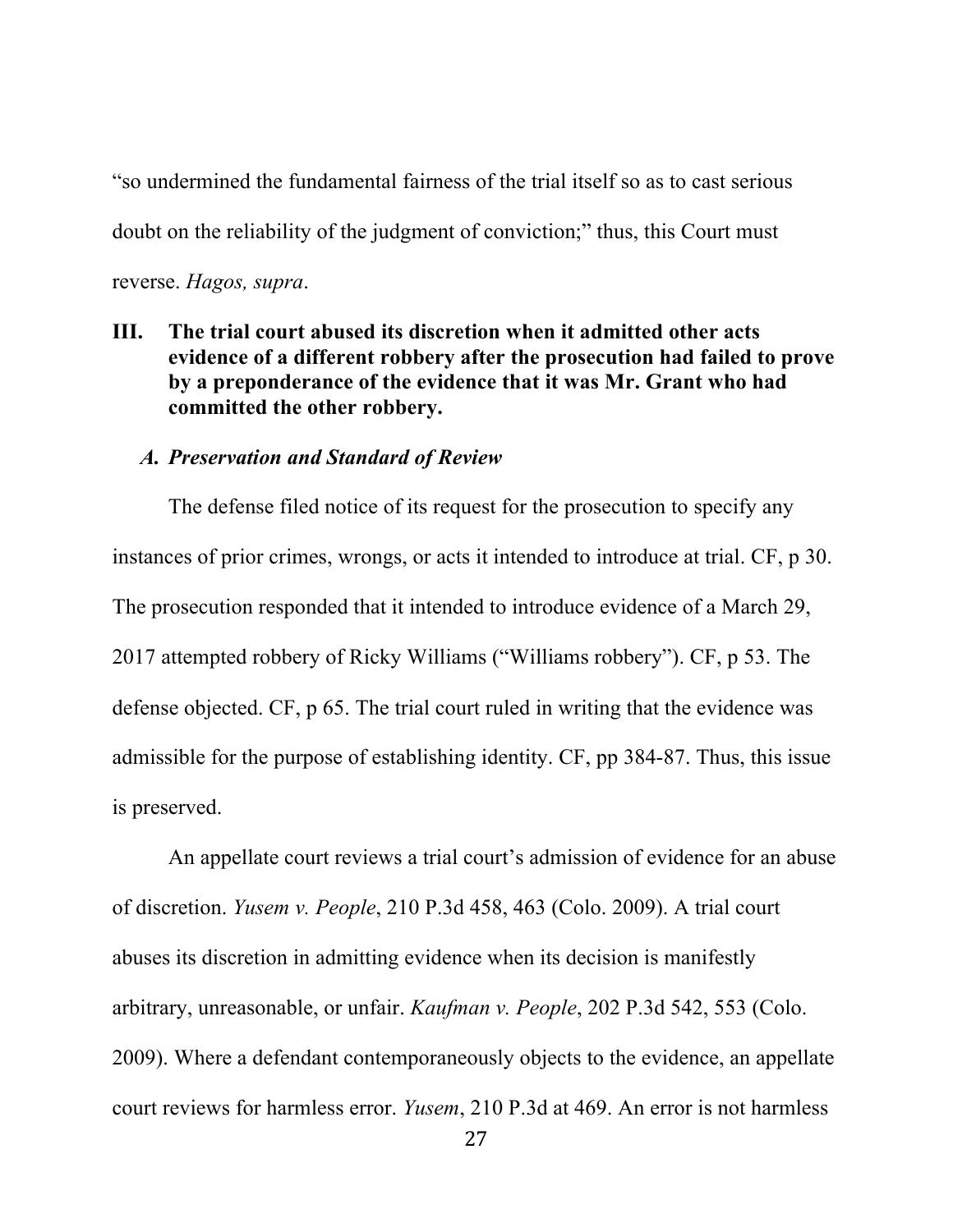"so undermined the fundamental fairness of the trial itself so as to cast serious doubt on the reliability of the judgment of conviction;" thus, this Court must reverse. *Hagos, supra*.

**III. The trial court abused its discretion when it admitted other acts evidence of a different robbery after the prosecution had failed to prove by a preponderance of the evidence that it was Mr. Grant who had committed the other robbery.**

#### *A. Preservation and Standard of Review*

The defense filed notice of its request for the prosecution to specify any instances of prior crimes, wrongs, or acts it intended to introduce at trial. CF, p 30. The prosecution responded that it intended to introduce evidence of a March 29, 2017 attempted robbery of Ricky Williams ("Williams robbery"). CF, p 53. The defense objected. CF, p 65. The trial court ruled in writing that the evidence was admissible for the purpose of establishing identity. CF, pp 384-87. Thus, this issue is preserved.

An appellate court reviews a trial court's admission of evidence for an abuse of discretion. *Yusem v. People*, 210 P.3d 458, 463 (Colo. 2009). A trial court abuses its discretion in admitting evidence when its decision is manifestly arbitrary, unreasonable, or unfair. *Kaufman v. People*, 202 P.3d 542, 553 (Colo. 2009). Where a defendant contemporaneously objects to the evidence, an appellate court reviews for harmless error. *Yusem*, 210 P.3d at 469. An error is not harmless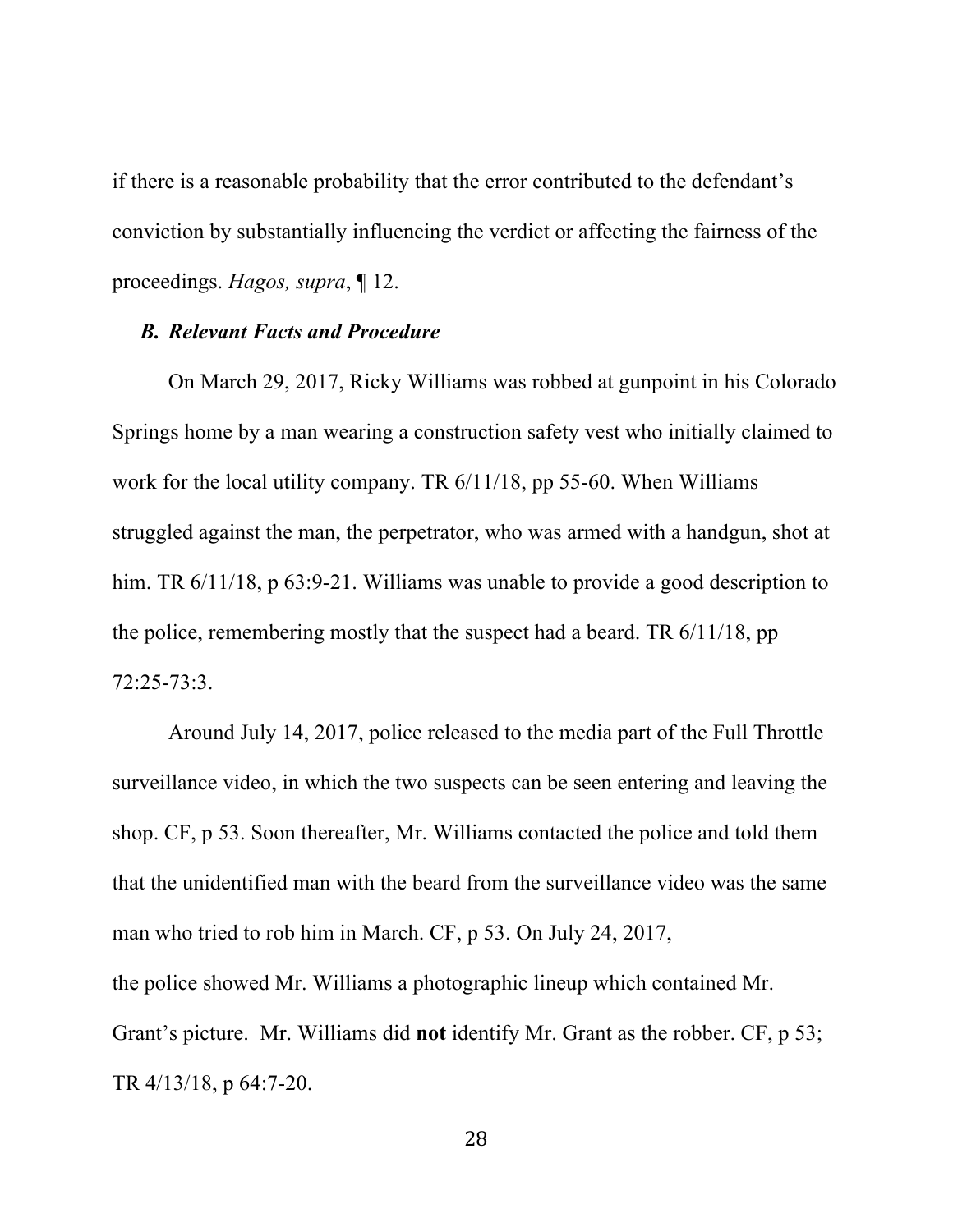if there is a reasonable probability that the error contributed to the defendant's conviction by substantially influencing the verdict or affecting the fairness of the proceedings. *Hagos, supra*, ¶ 12.

#### *B. Relevant Facts and Procedure*

On March 29, 2017, Ricky Williams was robbed at gunpoint in his Colorado Springs home by a man wearing a construction safety vest who initially claimed to work for the local utility company. TR 6/11/18, pp 55-60. When Williams struggled against the man, the perpetrator, who was armed with a handgun, shot at him. TR  $6/11/18$ , p  $63:9-21$ . Williams was unable to provide a good description to the police, remembering mostly that the suspect had a beard. TR 6/11/18, pp 72:25-73:3.

Around July 14, 2017, police released to the media part of the Full Throttle surveillance video, in which the two suspects can be seen entering and leaving the shop. CF, p 53. Soon thereafter, Mr. Williams contacted the police and told them that the unidentified man with the beard from the surveillance video was the same man who tried to rob him in March. CF, p 53. On July 24, 2017, the police showed Mr. Williams a photographic lineup which contained Mr. Grant's picture. Mr. Williams did **not** identify Mr. Grant as the robber. CF, p 53; TR 4/13/18, p 64:7-20.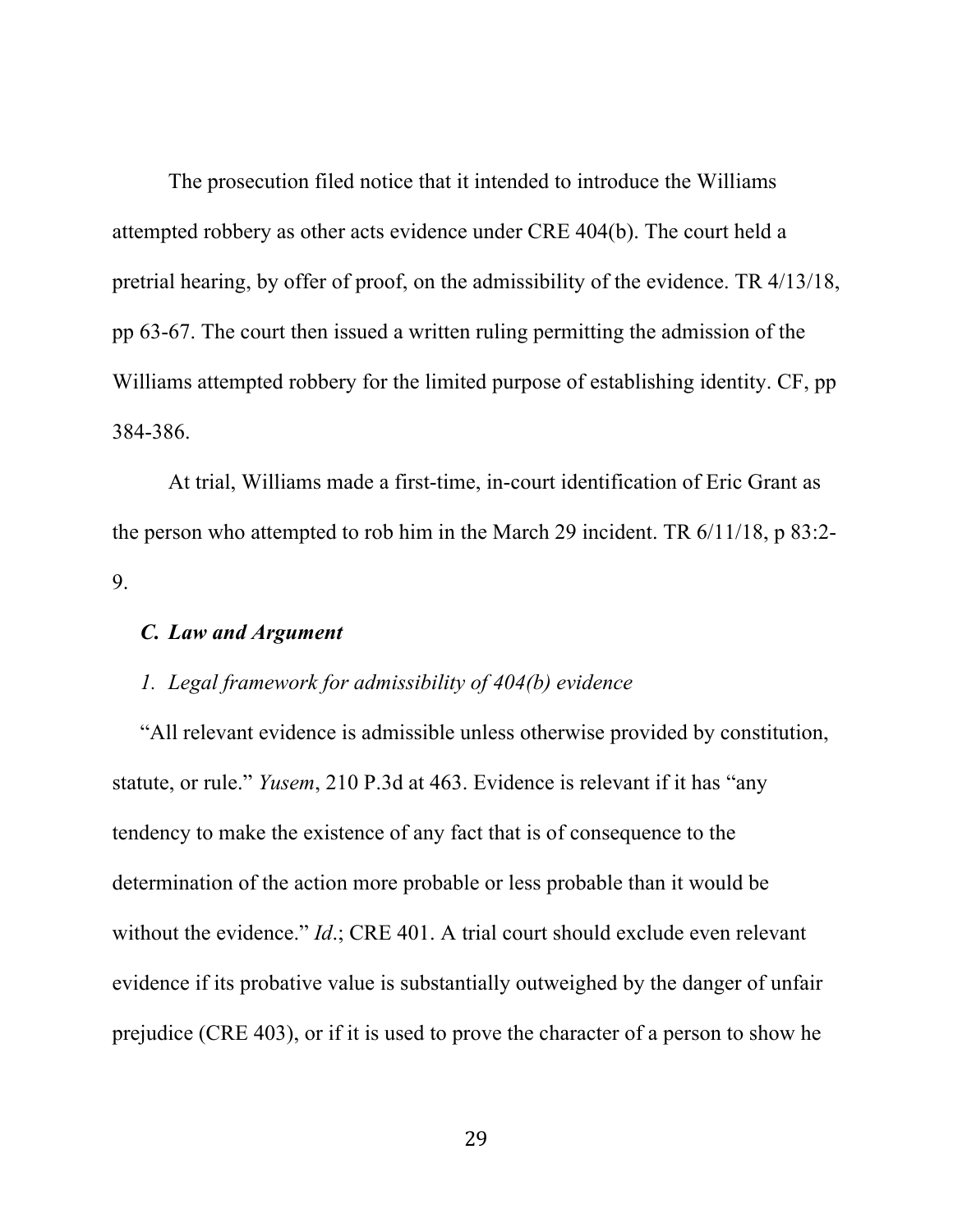The prosecution filed notice that it intended to introduce the Williams attempted robbery as other acts evidence under CRE 404(b). The court held a pretrial hearing, by offer of proof, on the admissibility of the evidence. TR 4/13/18, pp 63-67. The court then issued a written ruling permitting the admission of the Williams attempted robbery for the limited purpose of establishing identity. CF, pp 384-386.

At trial, Williams made a first-time, in-court identification of Eric Grant as the person who attempted to rob him in the March 29 incident. TR 6/11/18, p 83:2- 9.

#### *C. Law and Argument*

## *1. Legal framework for admissibility of 404(b) evidence*

"All relevant evidence is admissible unless otherwise provided by constitution, statute, or rule." *Yusem*, 210 P.3d at 463. Evidence is relevant if it has "any tendency to make the existence of any fact that is of consequence to the determination of the action more probable or less probable than it would be without the evidence." *Id*.; CRE 401. A trial court should exclude even relevant evidence if its probative value is substantially outweighed by the danger of unfair prejudice (CRE 403), or if it is used to prove the character of a person to show he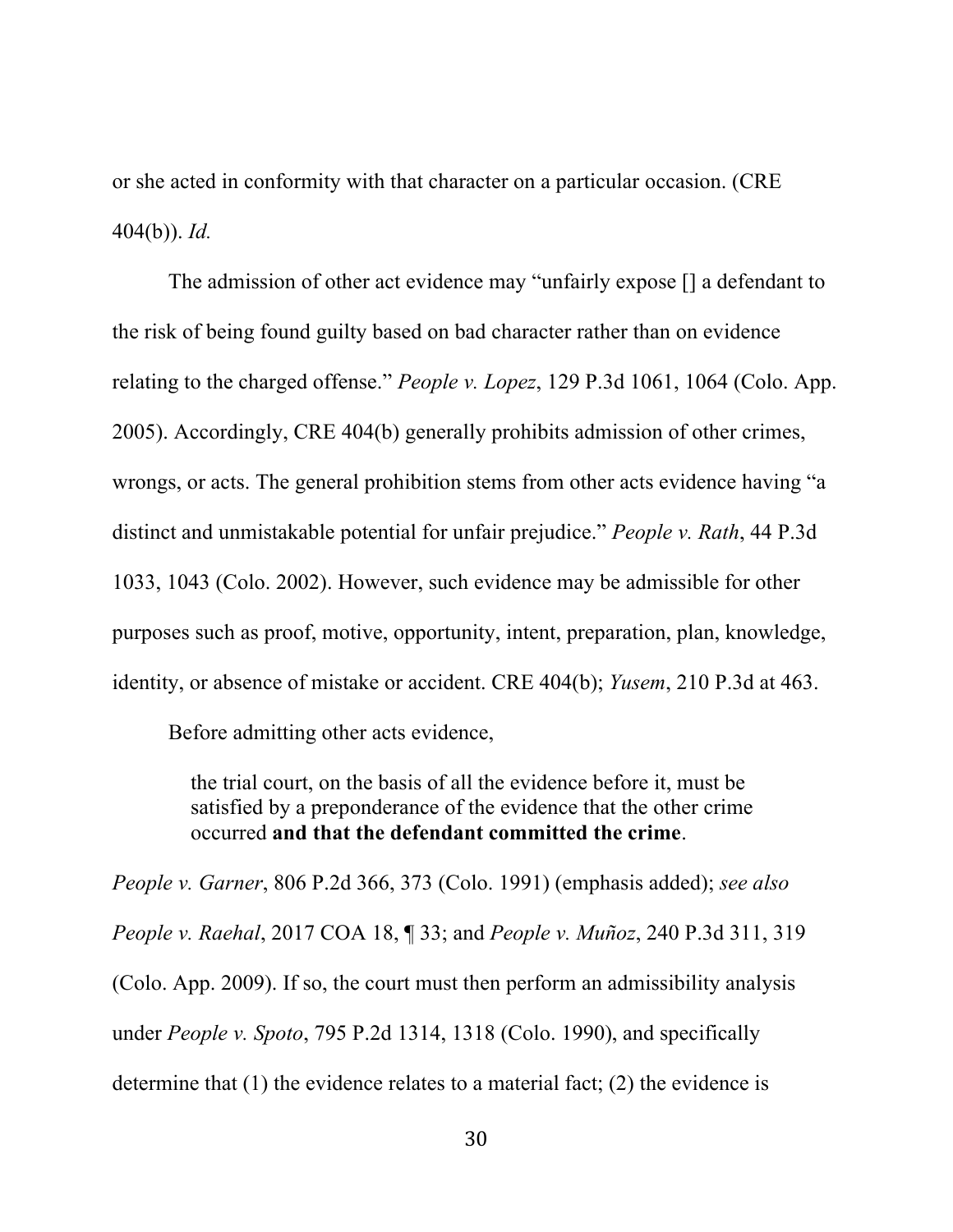or she acted in conformity with that character on a particular occasion. (CRE 404(b)). *Id.*

The admission of other act evidence may "unfairly expose [] a defendant to the risk of being found guilty based on bad character rather than on evidence relating to the charged offense." *People v. Lopez*, 129 P.3d 1061, 1064 (Colo. App. 2005). Accordingly, CRE 404(b) generally prohibits admission of other crimes, wrongs, or acts. The general prohibition stems from other acts evidence having "a distinct and unmistakable potential for unfair prejudice." *People v. Rath*, 44 P.3d 1033, 1043 (Colo. 2002). However, such evidence may be admissible for other purposes such as proof, motive, opportunity, intent, preparation, plan, knowledge, identity, or absence of mistake or accident. CRE 404(b); *Yusem*, 210 P.3d at 463.

Before admitting other acts evidence,

the trial court, on the basis of all the evidence before it, must be satisfied by a preponderance of the evidence that the other crime occurred **and that the defendant committed the crime**.

*People v. Garner*, 806 P.2d 366, 373 (Colo. 1991) (emphasis added); *see also People v. Raehal*, 2017 COA 18, ¶ 33; and *People v. Muñoz*, 240 P.3d 311, 319 (Colo. App. 2009). If so, the court must then perform an admissibility analysis under *People v. Spoto*, 795 P.2d 1314, 1318 (Colo. 1990), and specifically determine that (1) the evidence relates to a material fact; (2) the evidence is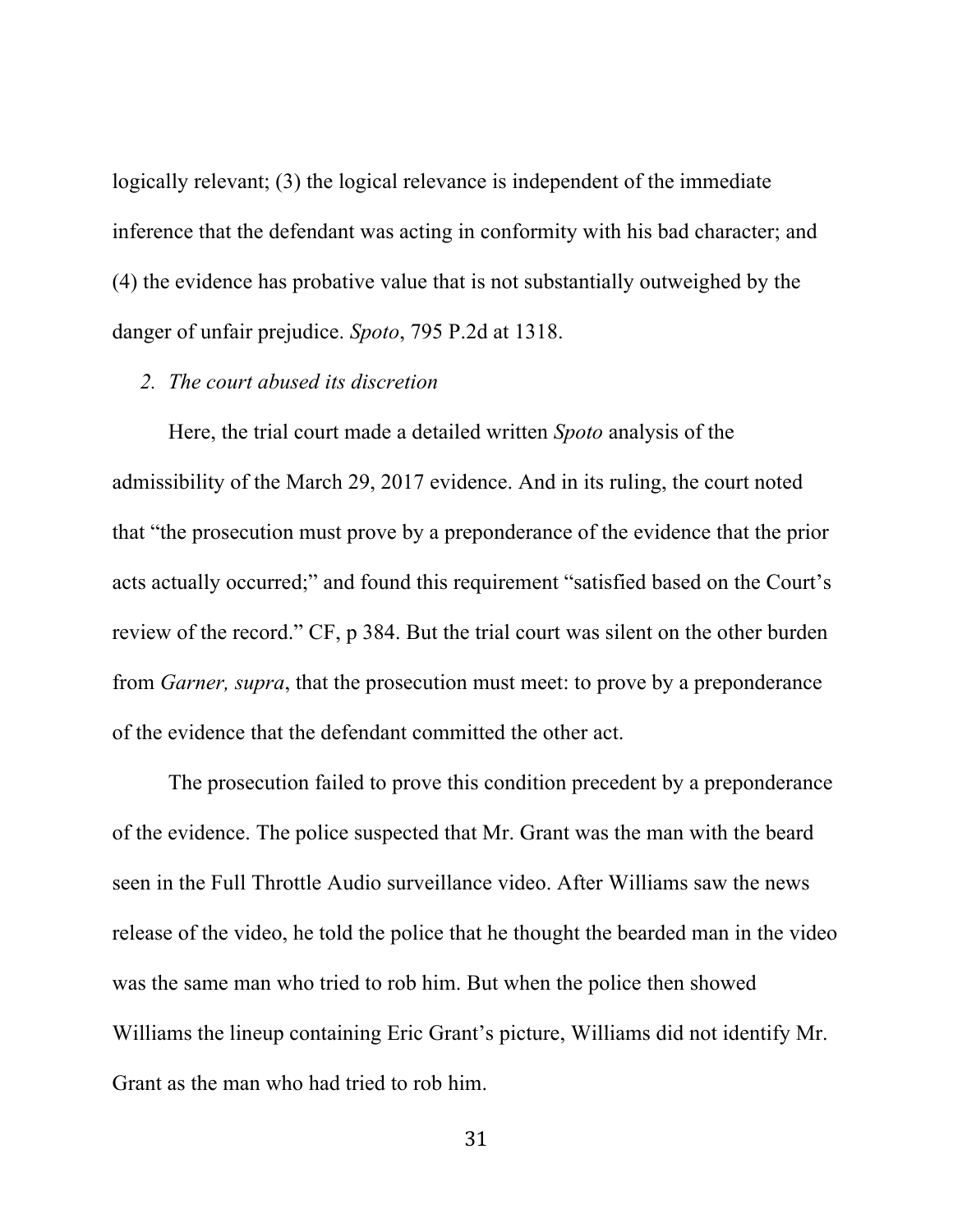logically relevant; (3) the logical relevance is independent of the immediate inference that the defendant was acting in conformity with his bad character; and (4) the evidence has probative value that is not substantially outweighed by the danger of unfair prejudice. *Spoto*, 795 P.2d at 1318.

#### *2. The court abused its discretion*

Here, the trial court made a detailed written *Spoto* analysis of the admissibility of the March 29, 2017 evidence. And in its ruling, the court noted that "the prosecution must prove by a preponderance of the evidence that the prior acts actually occurred;" and found this requirement "satisfied based on the Court's review of the record." CF, p 384. But the trial court was silent on the other burden from *Garner, supra*, that the prosecution must meet: to prove by a preponderance of the evidence that the defendant committed the other act.

The prosecution failed to prove this condition precedent by a preponderance of the evidence. The police suspected that Mr. Grant was the man with the beard seen in the Full Throttle Audio surveillance video. After Williams saw the news release of the video, he told the police that he thought the bearded man in the video was the same man who tried to rob him. But when the police then showed Williams the lineup containing Eric Grant's picture, Williams did not identify Mr. Grant as the man who had tried to rob him.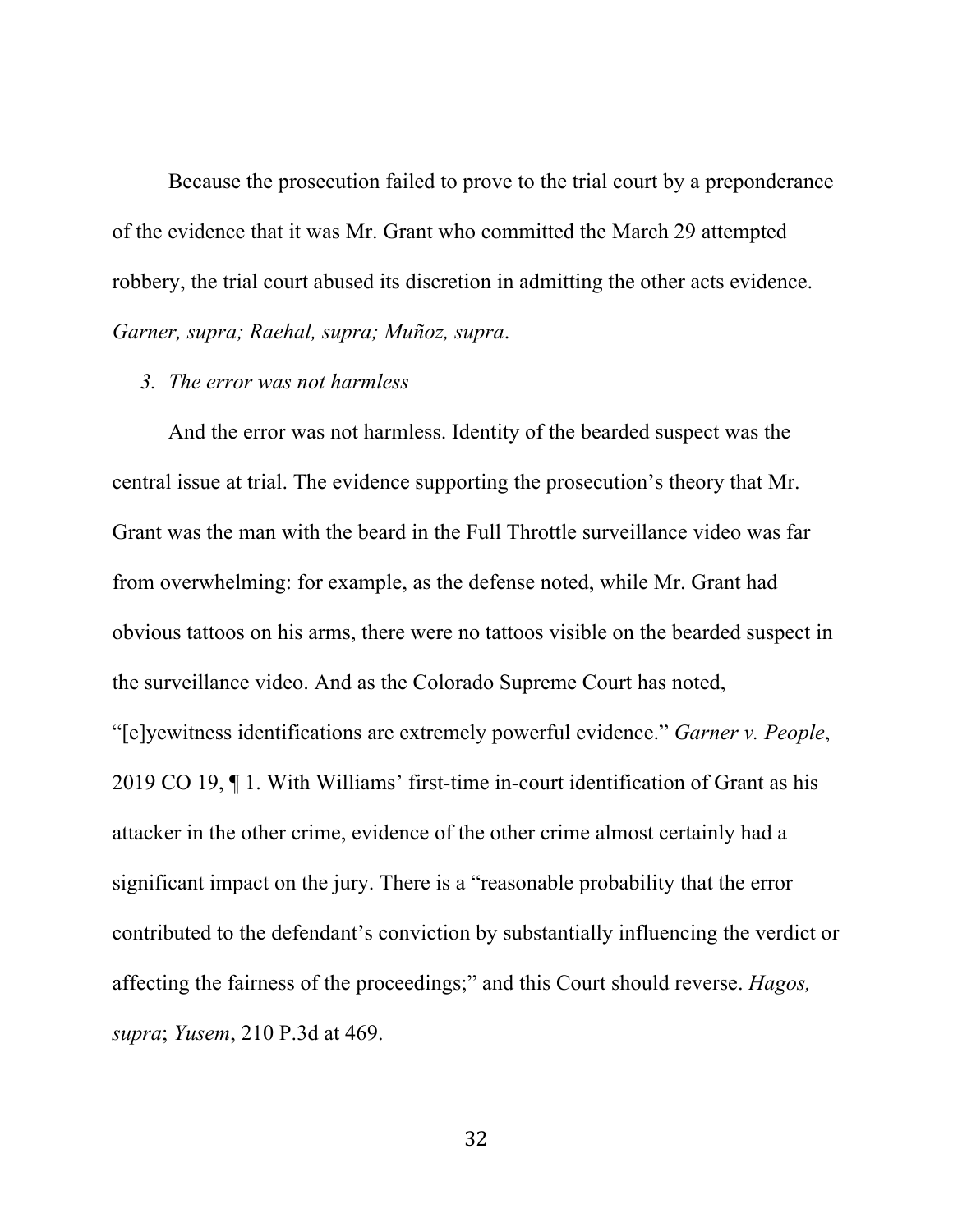Because the prosecution failed to prove to the trial court by a preponderance of the evidence that it was Mr. Grant who committed the March 29 attempted robbery, the trial court abused its discretion in admitting the other acts evidence. *Garner, supra; Raehal, supra; Muñoz, supra*.

#### *3. The error was not harmless*

And the error was not harmless. Identity of the bearded suspect was the central issue at trial. The evidence supporting the prosecution's theory that Mr. Grant was the man with the beard in the Full Throttle surveillance video was far from overwhelming: for example, as the defense noted, while Mr. Grant had obvious tattoos on his arms, there were no tattoos visible on the bearded suspect in the surveillance video. And as the Colorado Supreme Court has noted, "[e]yewitness identifications are extremely powerful evidence." *Garner v. People*, 2019 CO 19, ¶ 1. With Williams' first-time in-court identification of Grant as his attacker in the other crime, evidence of the other crime almost certainly had a significant impact on the jury. There is a "reasonable probability that the error contributed to the defendant's conviction by substantially influencing the verdict or affecting the fairness of the proceedings;" and this Court should reverse. *Hagos, supra*; *Yusem*, 210 P.3d at 469.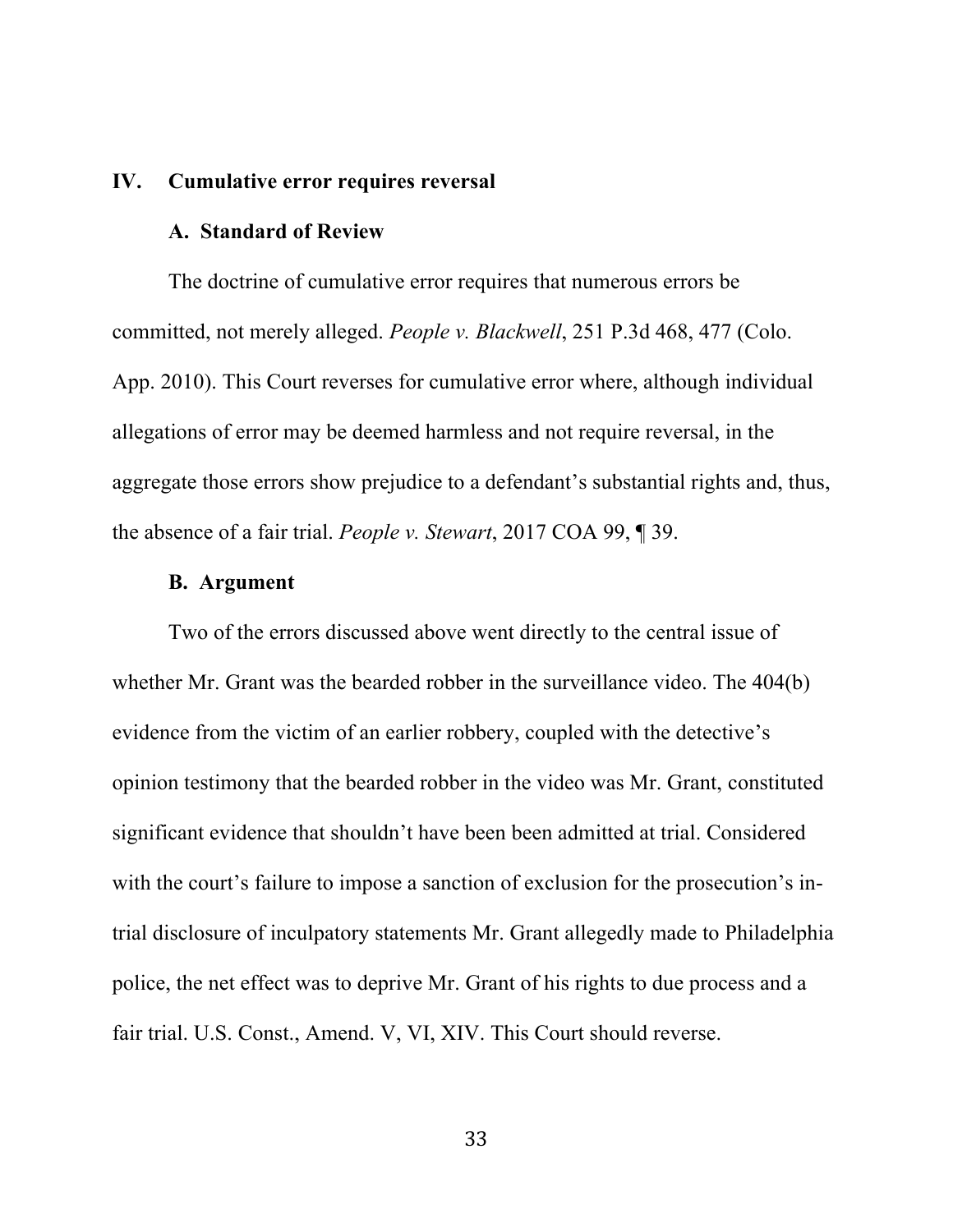#### **IV. Cumulative error requires reversal**

### **A. Standard of Review**

The doctrine of cumulative error requires that numerous errors be committed, not merely alleged. *People v. Blackwell*, 251 P.3d 468, 477 (Colo. App. 2010). This Court reverses for cumulative error where, although individual allegations of error may be deemed harmless and not require reversal, in the aggregate those errors show prejudice to a defendant's substantial rights and, thus, the absence of a fair trial. *People v. Stewart*, 2017 COA 99, ¶ 39.

#### **B. Argument**

Two of the errors discussed above went directly to the central issue of whether Mr. Grant was the bearded robber in the surveillance video. The 404(b) evidence from the victim of an earlier robbery, coupled with the detective's opinion testimony that the bearded robber in the video was Mr. Grant, constituted significant evidence that shouldn't have been been admitted at trial. Considered with the court's failure to impose a sanction of exclusion for the prosecution's intrial disclosure of inculpatory statements Mr. Grant allegedly made to Philadelphia police, the net effect was to deprive Mr. Grant of his rights to due process and a fair trial. U.S. Const., Amend. V, VI, XIV. This Court should reverse.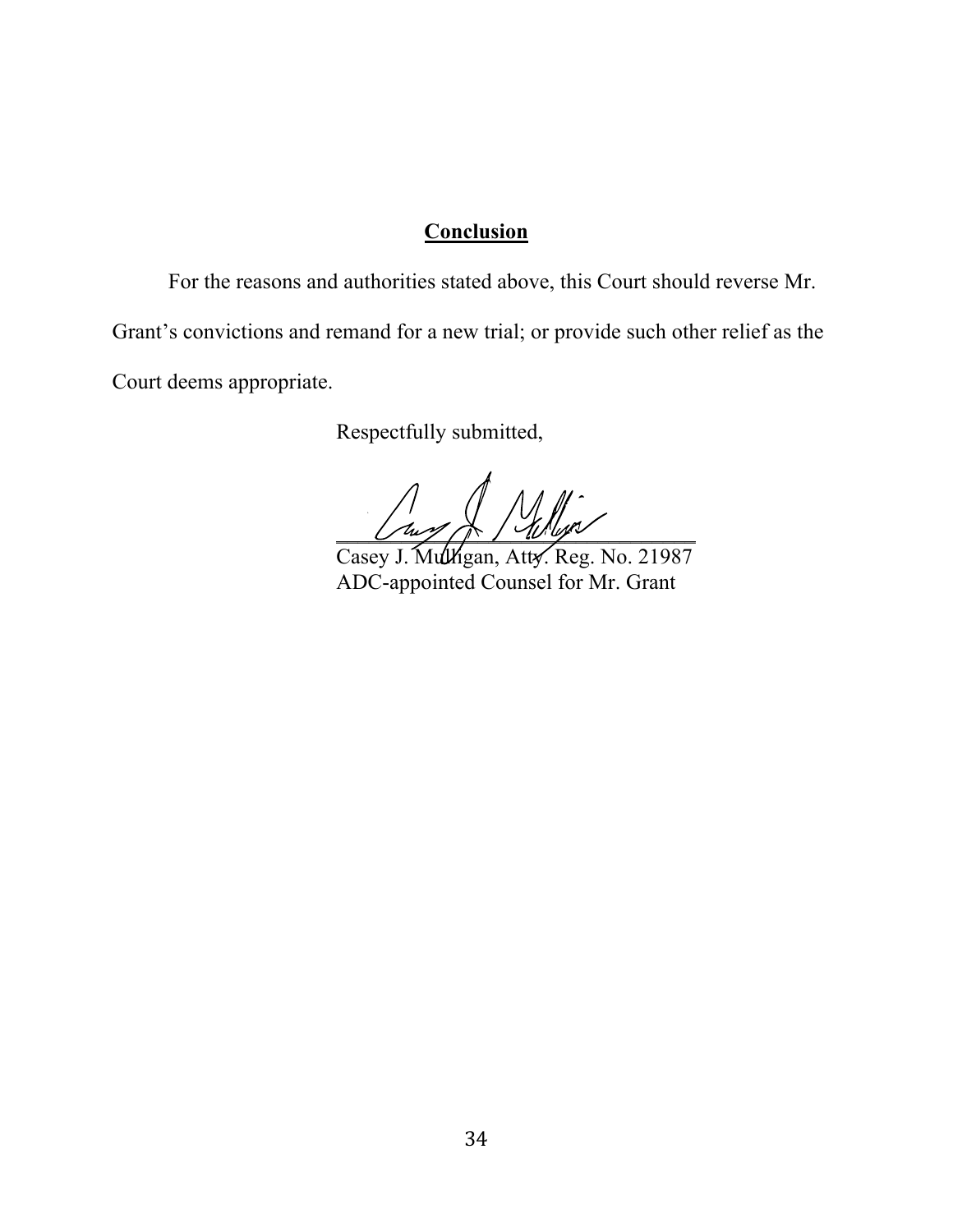## **Conclusion**

For the reasons and authorities stated above, this Court should reverse Mr. Grant's convictions and remand for a new trial; or provide such other relief as the Court deems appropriate.

Respectfully submitted,

 $U\cup\mathscr{M}\rightarrow U\cup\mathscr{N}$ 

Casey J. Mulligan, Atty. Reg. No. 21987 ADC-appointed Counsel for Mr. Grant